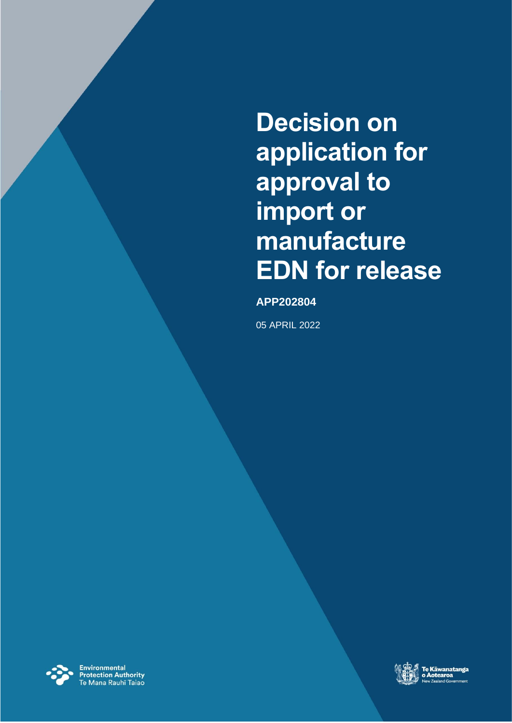**Decision on application for approval to import or manufacture EDN for release**

### **APP202804**

05 APRIL 2022



**Environmental<br>Protection Authority**<br>Te Mana Rauhī Taiao

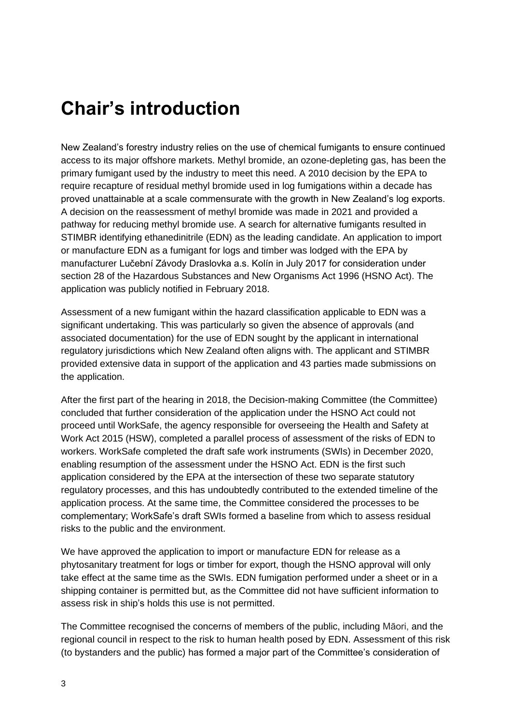# <span id="page-2-0"></span>**Chair's introduction**

New Zealand's forestry industry relies on the use of chemical fumigants to ensure continued access to its major offshore markets. Methyl bromide, an ozone-depleting gas, has been the primary fumigant used by the industry to meet this need. A 2010 decision by the EPA to require recapture of residual methyl bromide used in log fumigations within a decade has proved unattainable at a scale commensurate with the growth in New Zealand's log exports. A decision on the reassessment of methyl bromide was made in 2021 and provided a pathway for reducing methyl bromide use. A search for alternative fumigants resulted in STIMBR identifying ethanedinitrile (EDN) as the leading candidate. An application to import or manufacture EDN as a fumigant for logs and timber was lodged with the EPA by manufacturer Lučební Závody Draslovka a.s. Kolín in July 2017 for consideration under section 28 of the Hazardous Substances and New Organisms Act 1996 (HSNO Act). The application was publicly notified in February 2018.

Assessment of a new fumigant within the hazard classification applicable to EDN was a significant undertaking. This was particularly so given the absence of approvals (and associated documentation) for the use of EDN sought by the applicant in international regulatory jurisdictions which New Zealand often aligns with. The applicant and STIMBR provided extensive data in support of the application and 43 parties made submissions on the application.

After the first part of the hearing in 2018, the Decision-making Committee (the Committee) concluded that further consideration of the application under the HSNO Act could not proceed until WorkSafe, the agency responsible for overseeing the Health and Safety at Work Act 2015 (HSW), completed a parallel process of assessment of the risks of EDN to workers. WorkSafe completed the draft safe work instruments (SWIs) in December 2020, enabling resumption of the assessment under the HSNO Act. EDN is the first such application considered by the EPA at the intersection of these two separate statutory regulatory processes, and this has undoubtedly contributed to the extended timeline of the application process. At the same time, the Committee considered the processes to be complementary; WorkSafe's draft SWIs formed a baseline from which to assess residual risks to the public and the environment.

We have approved the application to import or manufacture EDN for release as a phytosanitary treatment for logs or timber for export, though the HSNO approval will only take effect at the same time as the SWIs. EDN fumigation performed under a sheet or in a shipping container is permitted but, as the Committee did not have sufficient information to assess risk in ship's holds this use is not permitted.

The Committee recognised the concerns of members of the public, including Māori, and the regional council in respect to the risk to human health posed by EDN. Assessment of this risk (to bystanders and the public) has formed a major part of the Committee's consideration of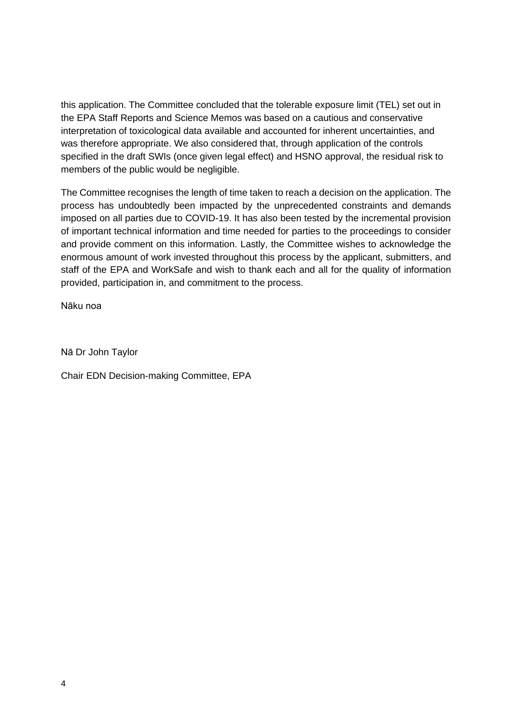this application. The Committee concluded that the tolerable exposure limit (TEL) set out in the EPA Staff Reports and Science Memos was based on a cautious and conservative interpretation of toxicological data available and accounted for inherent uncertainties, and was therefore appropriate. We also considered that, through application of the controls specified in the draft SWIs (once given legal effect) and HSNO approval, the residual risk to members of the public would be negligible.

The Committee recognises the length of time taken to reach a decision on the application. The process has undoubtedly been impacted by the unprecedented constraints and demands imposed on all parties due to COVID-19. It has also been tested by the incremental provision of important technical information and time needed for parties to the proceedings to consider and provide comment on this information. Lastly, the Committee wishes to acknowledge the enormous amount of work invested throughout this process by the applicant, submitters, and staff of the EPA and WorkSafe and wish to thank each and all for the quality of information provided, participation in, and commitment to the process.

Nāku noa

Nā Dr John Taylor

Chair EDN Decision-making Committee, EPA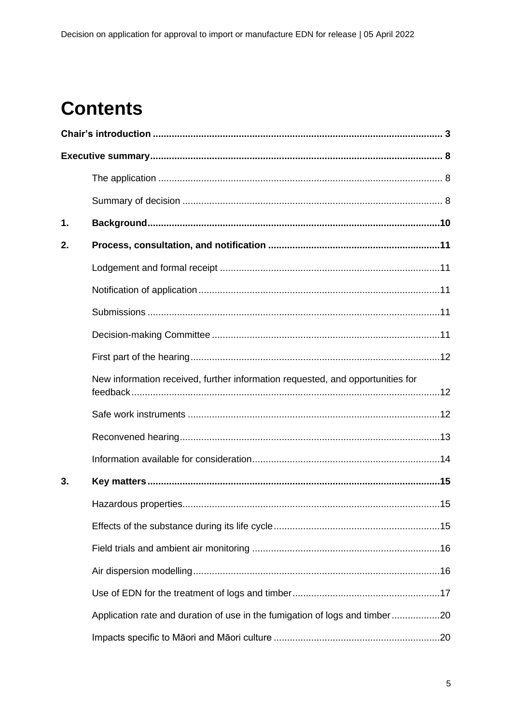# **Contents**

| 1. |                                                                                |  |
|----|--------------------------------------------------------------------------------|--|
| 2. |                                                                                |  |
|    |                                                                                |  |
|    |                                                                                |  |
|    |                                                                                |  |
|    |                                                                                |  |
|    |                                                                                |  |
|    | New information received, further information requested, and opportunities for |  |
|    |                                                                                |  |
|    |                                                                                |  |
|    |                                                                                |  |
| 3. |                                                                                |  |
|    |                                                                                |  |
|    |                                                                                |  |
|    |                                                                                |  |
|    |                                                                                |  |
|    |                                                                                |  |
|    | Application rate and duration of use in the fumigation of logs and timber20    |  |
|    |                                                                                |  |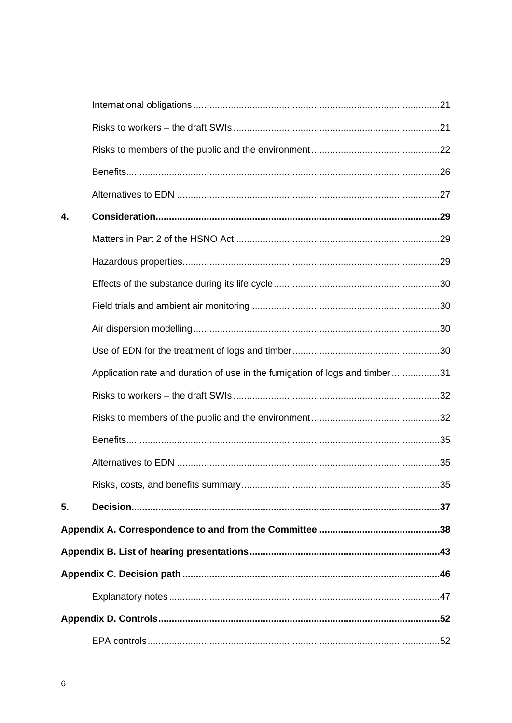| 4. |                                                                             |  |
|----|-----------------------------------------------------------------------------|--|
|    |                                                                             |  |
|    |                                                                             |  |
|    |                                                                             |  |
|    |                                                                             |  |
|    |                                                                             |  |
|    |                                                                             |  |
|    | Application rate and duration of use in the fumigation of logs and timber31 |  |
|    |                                                                             |  |
|    |                                                                             |  |
|    |                                                                             |  |
|    |                                                                             |  |
|    |                                                                             |  |
| 5. |                                                                             |  |
|    |                                                                             |  |
|    |                                                                             |  |
|    |                                                                             |  |
|    |                                                                             |  |
|    |                                                                             |  |
|    |                                                                             |  |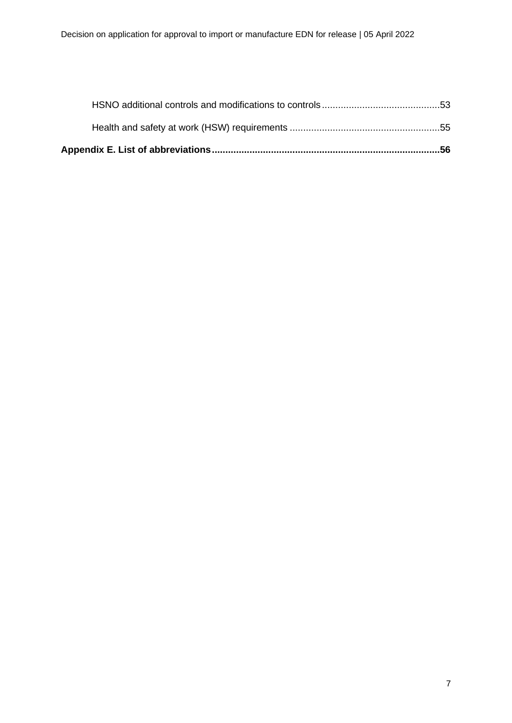| Appendix E. List of abbreviations…………………………………………………………………………56 |  |
|-----------------------------------------------------------------|--|
|                                                                 |  |
|                                                                 |  |
|                                                                 |  |
|                                                                 |  |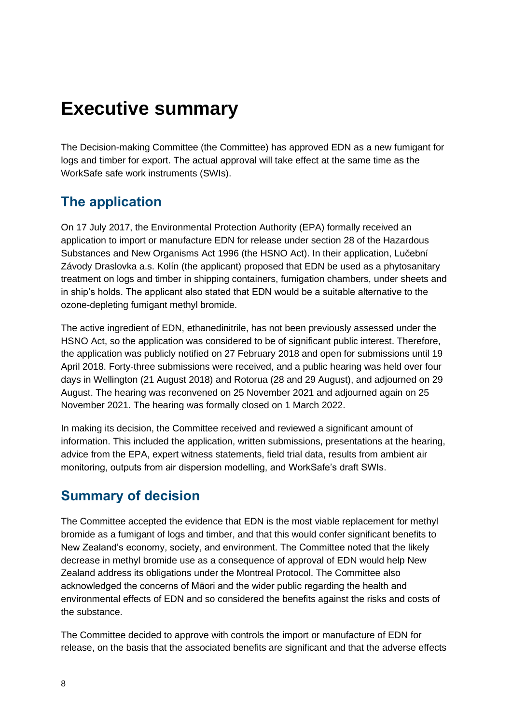# <span id="page-7-0"></span>**Executive summary**

The Decision-making Committee (the Committee) has approved EDN as a new fumigant for logs and timber for export. The actual approval will take effect at the same time as the WorkSafe safe work instruments (SWIs).

## <span id="page-7-1"></span>**The application**

On 17 July 2017, the Environmental Protection Authority (EPA) formally received an application to import or manufacture EDN for release under section 28 of the Hazardous Substances and New Organisms Act 1996 (the HSNO Act). In their application, Lučební Závody Draslovka a.s. Kolín (the applicant) proposed that EDN be used as a phytosanitary treatment on logs and timber in shipping containers, fumigation chambers, under sheets and in ship's holds. The applicant also stated that EDN would be a suitable alternative to the ozone-depleting fumigant methyl bromide.

The active ingredient of EDN, ethanedinitrile, has not been previously assessed under the HSNO Act, so the application was considered to be of significant public interest. Therefore, the application was publicly notified on 27 February 2018 and open for submissions until 19 April 2018. Forty-three submissions were received, and a public hearing was held over four days in Wellington (21 August 2018) and Rotorua (28 and 29 August), and adjourned on 29 August. The hearing was reconvened on 25 November 2021 and adjourned again on 25 November 2021. The hearing was formally closed on 1 March 2022.

In making its decision, the Committee received and reviewed a significant amount of information. This included the application, written submissions, presentations at the hearing, advice from the EPA, expert witness statements, field trial data, results from ambient air monitoring, outputs from air dispersion modelling, and WorkSafe's draft SWIs.

## <span id="page-7-2"></span>**Summary of decision**

The Committee accepted the evidence that EDN is the most viable replacement for methyl bromide as a fumigant of logs and timber, and that this would confer significant benefits to New Zealand's economy, society, and environment. The Committee noted that the likely decrease in methyl bromide use as a consequence of approval of EDN would help New Zealand address its obligations under the Montreal Protocol. The Committee also acknowledged the concerns of Māori and the wider public regarding the health and environmental effects of EDN and so considered the benefits against the risks and costs of the substance.

The Committee decided to approve with controls the import or manufacture of EDN for release, on the basis that the associated benefits are significant and that the adverse effects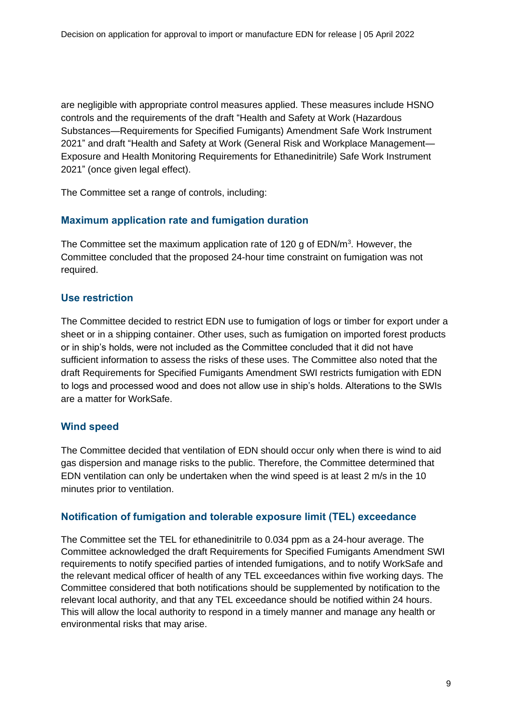are negligible with appropriate control measures applied. These measures include HSNO controls and the requirements of the draft "Health and Safety at Work (Hazardous Substances—Requirements for Specified Fumigants) Amendment Safe Work Instrument 2021" and draft "Health and Safety at Work (General Risk and Workplace Management— Exposure and Health Monitoring Requirements for Ethanedinitrile) Safe Work Instrument 2021" (once given legal effect).

The Committee set a range of controls, including:

### **Maximum application rate and fumigation duration**

The Committee set the maximum application rate of 120 g of  $EDN/m<sup>3</sup>$ . However, the Committee concluded that the proposed 24-hour time constraint on fumigation was not required.

### **Use restriction**

The Committee decided to restrict EDN use to fumigation of logs or timber for export under a sheet or in a shipping container. Other uses, such as fumigation on imported forest products or in ship's holds, were not included as the Committee concluded that it did not have sufficient information to assess the risks of these uses. The Committee also noted that the draft Requirements for Specified Fumigants Amendment SWI restricts fumigation with EDN to logs and processed wood and does not allow use in ship's holds. Alterations to the SWIs are a matter for WorkSafe.

#### **Wind speed**

The Committee decided that ventilation of EDN should occur only when there is wind to aid gas dispersion and manage risks to the public. Therefore, the Committee determined that EDN ventilation can only be undertaken when the wind speed is at least 2 m/s in the 10 minutes prior to ventilation.

#### **Notification of fumigation and tolerable exposure limit (TEL) exceedance**

The Committee set the TEL for ethanedinitrile to 0.034 ppm as a 24-hour average. The Committee acknowledged the draft Requirements for Specified Fumigants Amendment SWI requirements to notify specified parties of intended fumigations, and to notify WorkSafe and the relevant medical officer of health of any TEL exceedances within five working days. The Committee considered that both notifications should be supplemented by notification to the relevant local authority, and that any TEL exceedance should be notified within 24 hours. This will allow the local authority to respond in a timely manner and manage any health or environmental risks that may arise.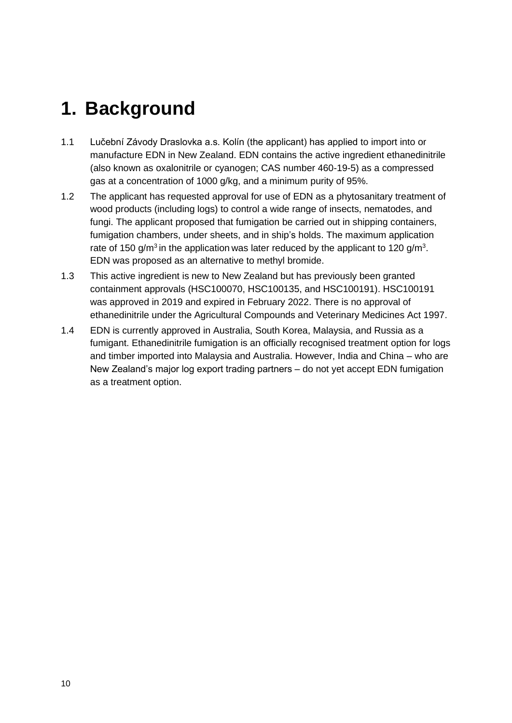# <span id="page-9-0"></span>**1. Background**

- 1.1 Lučební Závody Draslovka a.s. Kolín (the applicant) has applied to import into or manufacture EDN in New Zealand. EDN contains the active ingredient ethanedinitrile (also known as oxalonitrile or cyanogen; CAS number 460-19-5) as a compressed gas at a concentration of 1000 g/kg, and a minimum purity of 95%.
- 1.2 The applicant has requested approval for use of EDN as a phytosanitary treatment of wood products (including logs) to control a wide range of insects, nematodes, and fungi. The applicant proposed that fumigation be carried out in shipping containers, fumigation chambers, under sheets, and in ship's holds. The maximum application rate of 150 g/m<sup>3</sup> in the application was later reduced by the applicant to 120 g/m<sup>3</sup>. EDN was proposed as an alternative to methyl bromide.
- 1.3 This active ingredient is new to New Zealand but has previously been granted containment approvals (HSC100070, HSC100135, and HSC100191). HSC100191 was approved in 2019 and expired in February 2022. There is no approval of ethanedinitrile under the Agricultural Compounds and Veterinary Medicines Act 1997.
- 1.4 EDN is currently approved in Australia, South Korea, Malaysia, and Russia as a fumigant. Ethanedinitrile fumigation is an officially recognised treatment option for logs and timber imported into Malaysia and Australia. However, India and China – who are New Zealand's major log export trading partners – do not yet accept EDN fumigation as a treatment option.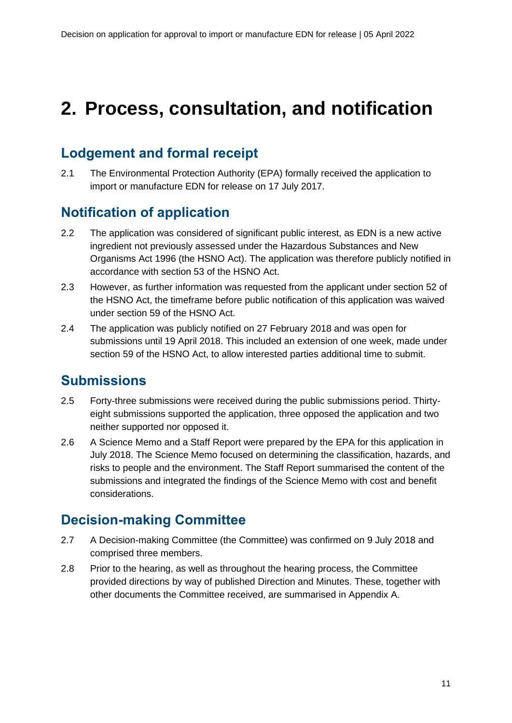# <span id="page-10-0"></span>**2. Process, consultation, and notification**

## <span id="page-10-1"></span>**Lodgement and formal receipt**

2.1 The Environmental Protection Authority (EPA) formally received the application to import or manufacture EDN for release on 17 July 2017.

## <span id="page-10-2"></span>**Notification of application**

- 2.2 The application was considered of significant public interest, as EDN is a new active ingredient not previously assessed under the Hazardous Substances and New Organisms Act 1996 (the HSNO Act). The application was therefore publicly notified in accordance with section 53 of the HSNO Act.
- 2.3 However, as further information was requested from the applicant under section 52 of the HSNO Act, the timeframe before public notification of this application was waived under section 59 of the HSNO Act.
- 2.4 The application was publicly notified on 27 February 2018 and was open for submissions until 19 April 2018. This included an extension of one week, made under section 59 of the HSNO Act, to allow interested parties additional time to submit.

## <span id="page-10-3"></span>**Submissions**

- 2.5 Forty-three submissions were received during the public submissions period. Thirtyeight submissions supported the application, three opposed the application and two neither supported nor opposed it.
- 2.6 A Science Memo and a Staff Report were prepared by the EPA for this application in July 2018. The Science Memo focused on determining the classification, hazards, and risks to people and the environment. The Staff Report summarised the content of the submissions and integrated the findings of the Science Memo with cost and benefit considerations.

## <span id="page-10-4"></span>**Decision-making Committee**

- 2.7 A Decision-making Committee (the Committee) was confirmed on 9 July 2018 and comprised three members.
- 2.8 Prior to the hearing, as well as throughout the hearing process, the Committee provided directions by way of published Direction and Minutes. These, together with other documents the Committee received, are summarised in Appendix A.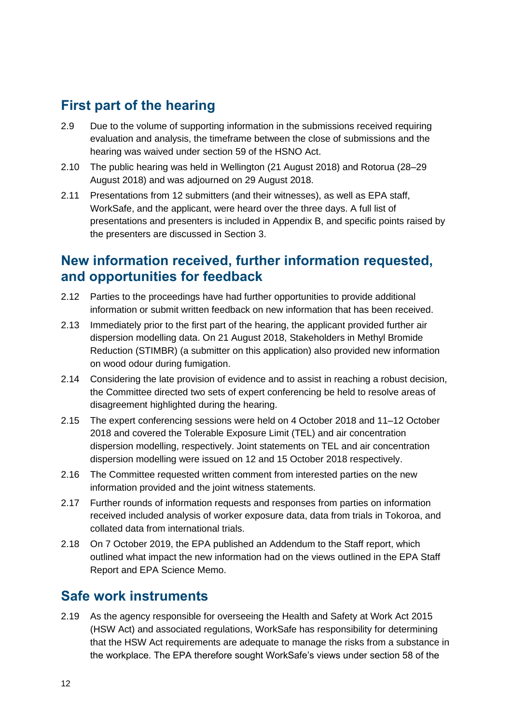## <span id="page-11-0"></span>**First part of the hearing**

- 2.9 Due to the volume of supporting information in the submissions received requiring evaluation and analysis, the timeframe between the close of submissions and the hearing was waived under section 59 of the HSNO Act.
- 2.10 The public hearing was held in Wellington (21 August 2018) and Rotorua (28–29 August 2018) and was adjourned on 29 August 2018.
- 2.11 Presentations from 12 submitters (and their witnesses), as well as EPA staff, WorkSafe, and the applicant, were heard over the three days. A full list of presentations and presenters is included in Appendix B, and specific points raised by the presenters are discussed in Section [3.](#page-14-0)

## <span id="page-11-1"></span>**New information received, further information requested, and opportunities for feedback**

- 2.12 Parties to the proceedings have had further opportunities to provide additional information or submit written feedback on new information that has been received.
- 2.13 Immediately prior to the first part of the hearing, the applicant provided further air dispersion modelling data. On 21 August 2018, Stakeholders in Methyl Bromide Reduction (STIMBR) (a submitter on this application) also provided new information on wood odour during fumigation.
- 2.14 Considering the late provision of evidence and to assist in reaching a robust decision, the Committee directed two sets of expert conferencing be held to resolve areas of disagreement highlighted during the hearing.
- 2.15 The expert conferencing sessions were held on 4 October 2018 and 11–12 October 2018 and covered the Tolerable Exposure Limit (TEL) and air concentration dispersion modelling, respectively. Joint statements on TEL and air concentration dispersion modelling were issued on 12 and 15 October 2018 respectively.
- 2.16 The Committee requested written comment from interested parties on the new information provided and the joint witness statements.
- 2.17 Further rounds of information requests and responses from parties on information received included analysis of worker exposure data, data from trials in Tokoroa, and collated data from international trials.
- 2.18 On 7 October 2019, the EPA published an Addendum to the Staff report, which outlined what impact the new information had on the views outlined in the EPA Staff Report and EPA Science Memo.

## <span id="page-11-2"></span>**Safe work instruments**

2.19 As the agency responsible for overseeing the Health and Safety at Work Act 2015 (HSW Act) and associated regulations, WorkSafe has responsibility for determining that the HSW Act requirements are adequate to manage the risks from a substance in the workplace. The EPA therefore sought WorkSafe's views under section 58 of the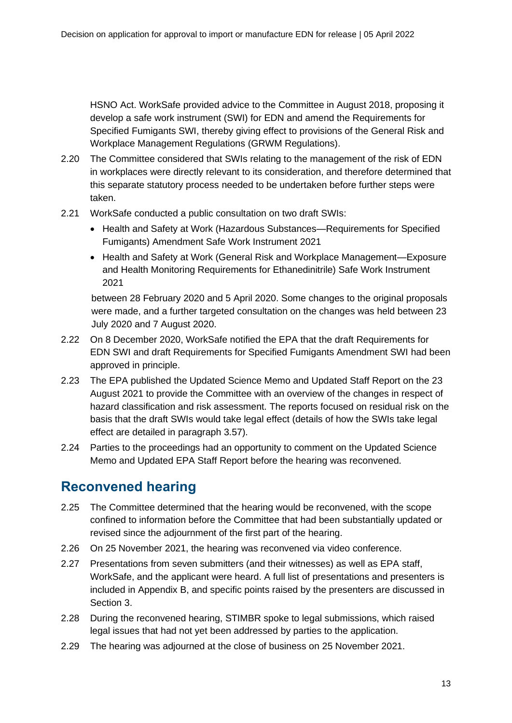HSNO Act. WorkSafe provided advice to the Committee in August 2018, proposing it develop a safe work instrument (SWI) for EDN and amend the Requirements for Specified Fumigants SWI, thereby giving effect to provisions of the General Risk and Workplace Management Regulations (GRWM Regulations).

- 2.20 The Committee considered that SWIs relating to the management of the risk of EDN in workplaces were directly relevant to its consideration, and therefore determined that this separate statutory process needed to be undertaken before further steps were taken.
- 2.21 WorkSafe conducted a public consultation on two draft SWIs:
	- Health and Safety at Work (Hazardous Substances—Requirements for Specified Fumigants) Amendment Safe Work Instrument 2021
	- Health and Safety at Work (General Risk and Workplace Management—Exposure and Health Monitoring Requirements for Ethanedinitrile) Safe Work Instrument 2021

between 28 February 2020 and 5 April 2020. Some changes to the original proposals were made, and a further targeted consultation on the changes was held between 23 July 2020 and 7 August 2020.

- 2.22 On 8 December 2020, WorkSafe notified the EPA that the draft Requirements for EDN SWI and draft Requirements for Specified Fumigants Amendment SWI had been approved in principle.
- 2.23 The EPA published the Updated Science Memo and Updated Staff Report on the 23 August 2021 to provide the Committee with an overview of the changes in respect of hazard classification and risk assessment. The reports focused on residual risk on the basis that the draft SWIs would take legal effect (details of how the SWIs take legal effect are detailed in paragraph [3.57\)](#page-21-1).
- 2.24 Parties to the proceedings had an opportunity to comment on the Updated Science Memo and Updated EPA Staff Report before the hearing was reconvened.

## <span id="page-12-0"></span>**Reconvened hearing**

- 2.25 The Committee determined that the hearing would be reconvened, with the scope confined to information before the Committee that had been substantially updated or revised since the adjournment of the first part of the hearing.
- 2.26 On 25 November 2021, the hearing was reconvened via video conference.
- 2.27 Presentations from seven submitters (and their witnesses) as well as EPA staff, WorkSafe, and the applicant were heard. A full list of presentations and presenters is included in Appendix B, and specific points raised by the presenters are discussed in Section [3.](#page-14-0)
- 2.28 During the reconvened hearing, STIMBR spoke to legal submissions, which raised legal issues that had not yet been addressed by parties to the application.
- 2.29 The hearing was adjourned at the close of business on 25 November 2021.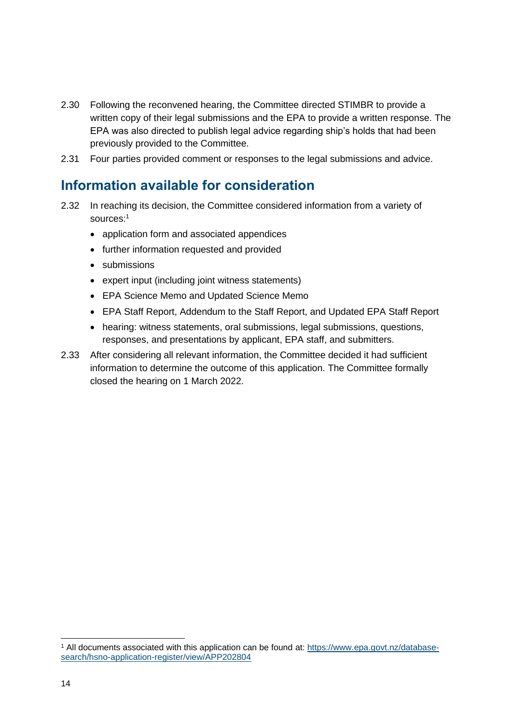- 2.30 Following the reconvened hearing, the Committee directed STIMBR to provide a written copy of their legal submissions and the EPA to provide a written response. The EPA was also directed to publish legal advice regarding ship's holds that had been previously provided to the Committee.
- 2.31 Four parties provided comment or responses to the legal submissions and advice.

## <span id="page-13-0"></span>**Information available for consideration**

- 2.32 In reaching its decision, the Committee considered information from a variety of sources:<sup>1</sup>
	- application form and associated appendices
	- further information requested and provided
	- submissions
	- expert input (including joint witness statements)
	- EPA Science Memo and Updated Science Memo
	- EPA Staff Report, Addendum to the Staff Report, and Updated EPA Staff Report
	- hearing: witness statements, oral submissions, legal submissions, questions, responses, and presentations by applicant, EPA staff, and submitters.
- 2.33 After considering all relevant information, the Committee decided it had sufficient information to determine the outcome of this application. The Committee formally closed the hearing on 1 March 2022.

<sup>&</sup>lt;sup>1</sup> All documents associated with this application can be found at: [https://www.epa.govt.nz/database](https://www.epa.govt.nz/database-search/hsno-application-register/view/APP202804)[search/hsno-application-register/view/APP202804](https://www.epa.govt.nz/database-search/hsno-application-register/view/APP202804)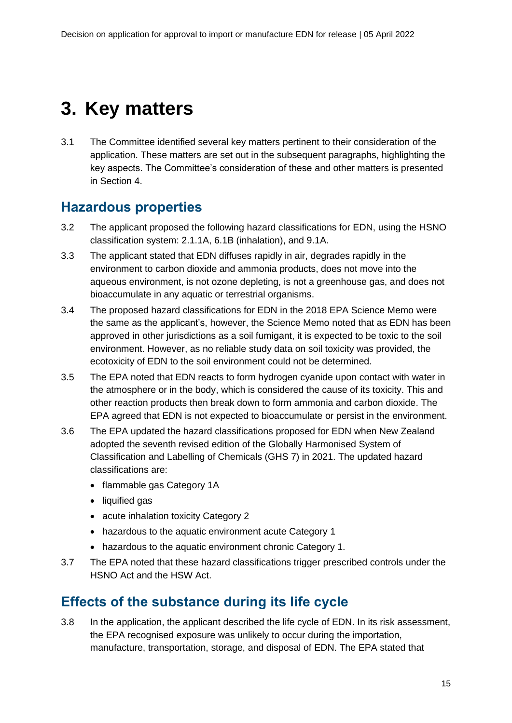# <span id="page-14-0"></span>**3. Key matters**

3.1 The Committee identified several key matters pertinent to their consideration of the application. These matters are set out in the subsequent paragraphs, highlighting the key aspects. The Committee's consideration of these and other matters is presented in Section [4.](#page-28-0)

## <span id="page-14-1"></span>**Hazardous properties**

- 3.2 The applicant proposed the following hazard classifications for EDN, using the HSNO classification system: 2.1.1A, 6.1B (inhalation), and 9.1A.
- 3.3 The applicant stated that EDN diffuses rapidly in air, degrades rapidly in the environment to carbon dioxide and ammonia products, does not move into the aqueous environment, is not ozone depleting, is not a greenhouse gas, and does not bioaccumulate in any aquatic or terrestrial organisms.
- 3.4 The proposed hazard classifications for EDN in the 2018 EPA Science Memo were the same as the applicant's, however, the Science Memo noted that as EDN has been approved in other jurisdictions as a soil fumigant, it is expected to be toxic to the soil environment. However, as no reliable study data on soil toxicity was provided, the ecotoxicity of EDN to the soil environment could not be determined.
- 3.5 The EPA noted that EDN reacts to form hydrogen cyanide upon contact with water in the atmosphere or in the body, which is considered the cause of its toxicity. This and other reaction products then break down to form ammonia and carbon dioxide. The EPA agreed that EDN is not expected to bioaccumulate or persist in the environment.
- 3.6 The EPA updated the hazard classifications proposed for EDN when New Zealand adopted the seventh revised edition of the Globally Harmonised System of Classification and Labelling of Chemicals (GHS 7) in 2021. The updated hazard classifications are:
	- flammable gas Category 1A
	- liquified gas
	- acute inhalation toxicity Category 2
	- hazardous to the aquatic environment acute Category 1
	- hazardous to the aquatic environment chronic Category 1.
- 3.7 The EPA noted that these hazard classifications trigger prescribed controls under the HSNO Act and the HSW Act.

## <span id="page-14-2"></span>**Effects of the substance during its life cycle**

3.8 In the application, the applicant described the life cycle of EDN. In its risk assessment, the EPA recognised exposure was unlikely to occur during the importation. manufacture, transportation, storage, and disposal of EDN. The EPA stated that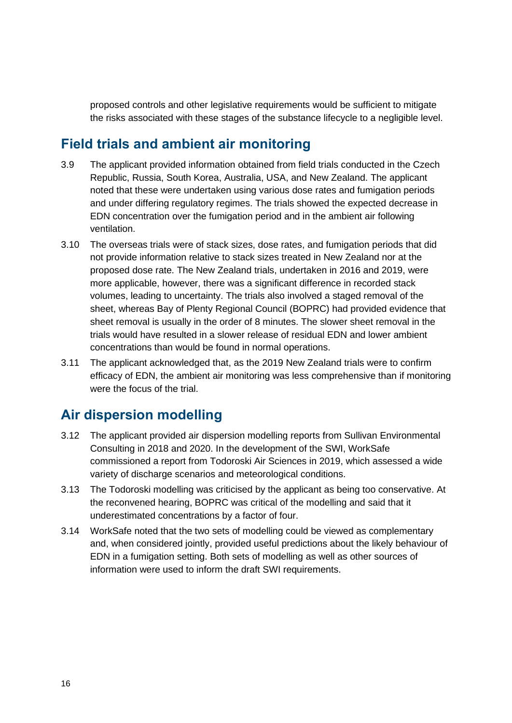proposed controls and other legislative requirements would be sufficient to mitigate the risks associated with these stages of the substance lifecycle to a negligible level.

## <span id="page-15-0"></span>**Field trials and ambient air monitoring**

- 3.9 The applicant provided information obtained from field trials conducted in the Czech Republic, Russia, South Korea, Australia, USA, and New Zealand. The applicant noted that these were undertaken using various dose rates and fumigation periods and under differing regulatory regimes. The trials showed the expected decrease in EDN concentration over the fumigation period and in the ambient air following ventilation.
- 3.10 The overseas trials were of stack sizes, dose rates, and fumigation periods that did not provide information relative to stack sizes treated in New Zealand nor at the proposed dose rate. The New Zealand trials, undertaken in 2016 and 2019, were more applicable, however, there was a significant difference in recorded stack volumes, leading to uncertainty. The trials also involved a staged removal of the sheet, whereas Bay of Plenty Regional Council (BOPRC) had provided evidence that sheet removal is usually in the order of 8 minutes. The slower sheet removal in the trials would have resulted in a slower release of residual EDN and lower ambient concentrations than would be found in normal operations.
- 3.11 The applicant acknowledged that, as the 2019 New Zealand trials were to confirm efficacy of EDN, the ambient air monitoring was less comprehensive than if monitoring were the focus of the trial.

## <span id="page-15-1"></span>**Air dispersion modelling**

- 3.12 The applicant provided air dispersion modelling reports from Sullivan Environmental Consulting in 2018 and 2020. In the development of the SWI, WorkSafe commissioned a report from Todoroski Air Sciences in 2019, which assessed a wide variety of discharge scenarios and meteorological conditions.
- 3.13 The Todoroski modelling was criticised by the applicant as being too conservative. At the reconvened hearing, BOPRC was critical of the modelling and said that it underestimated concentrations by a factor of four.
- 3.14 WorkSafe noted that the two sets of modelling could be viewed as complementary and, when considered jointly, provided useful predictions about the likely behaviour of EDN in a fumigation setting. Both sets of modelling as well as other sources of information were used to inform the draft SWI requirements.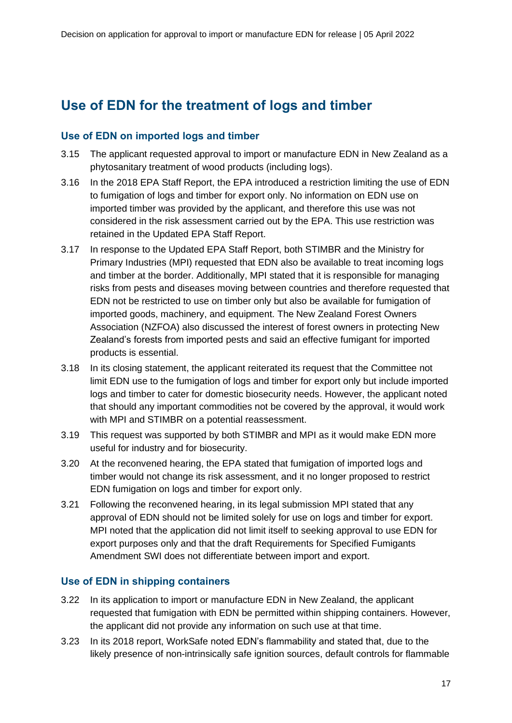## <span id="page-16-0"></span>**Use of EDN for the treatment of logs and timber**

### **Use of EDN on imported logs and timber**

- 3.15 The applicant requested approval to import or manufacture EDN in New Zealand as a phytosanitary treatment of wood products (including logs).
- 3.16 In the 2018 EPA Staff Report, the EPA introduced a restriction limiting the use of EDN to fumigation of logs and timber for export only. No information on EDN use on imported timber was provided by the applicant, and therefore this use was not considered in the risk assessment carried out by the EPA. This use restriction was retained in the Updated EPA Staff Report.
- 3.17 In response to the Updated EPA Staff Report, both STIMBR and the Ministry for Primary Industries (MPI) requested that EDN also be available to treat incoming logs and timber at the border. Additionally, MPI stated that it is responsible for managing risks from pests and diseases moving between countries and therefore requested that EDN not be restricted to use on timber only but also be available for fumigation of imported goods, machinery, and equipment. The New Zealand Forest Owners Association (NZFOA) also discussed the interest of forest owners in protecting New Zealand's forests from imported pests and said an effective fumigant for imported products is essential.
- 3.18 In its closing statement, the applicant reiterated its request that the Committee not limit EDN use to the fumigation of logs and timber for export only but include imported logs and timber to cater for domestic biosecurity needs. However, the applicant noted that should any important commodities not be covered by the approval, it would work with MPI and STIMBR on a potential reassessment.
- 3.19 This request was supported by both STIMBR and MPI as it would make EDN more useful for industry and for biosecurity.
- 3.20 At the reconvened hearing, the EPA stated that fumigation of imported logs and timber would not change its risk assessment, and it no longer proposed to restrict EDN fumigation on logs and timber for export only.
- 3.21 Following the reconvened hearing, in its legal submission MPI stated that any approval of EDN should not be limited solely for use on logs and timber for export. MPI noted that the application did not limit itself to seeking approval to use EDN for export purposes only and that the draft Requirements for Specified Fumigants Amendment SWI does not differentiate between import and export.

### **Use of EDN in shipping containers**

- 3.22 In its application to import or manufacture EDN in New Zealand, the applicant requested that fumigation with EDN be permitted within shipping containers. However, the applicant did not provide any information on such use at that time.
- 3.23 In its 2018 report, WorkSafe noted EDN's flammability and stated that, due to the likely presence of non-intrinsically safe ignition sources, default controls for flammable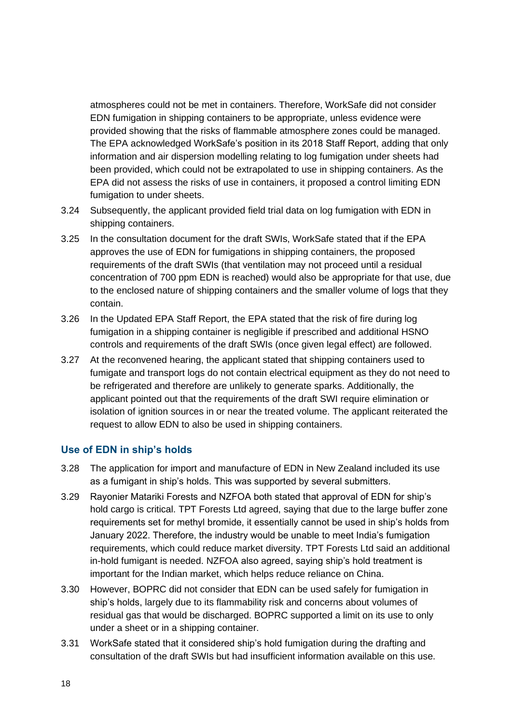atmospheres could not be met in containers. Therefore, WorkSafe did not consider EDN fumigation in shipping containers to be appropriate, unless evidence were provided showing that the risks of flammable atmosphere zones could be managed. The EPA acknowledged WorkSafe's position in its 2018 Staff Report, adding that only information and air dispersion modelling relating to log fumigation under sheets had been provided, which could not be extrapolated to use in shipping containers. As the EPA did not assess the risks of use in containers, it proposed a control limiting EDN fumigation to under sheets.

- 3.24 Subsequently, the applicant provided field trial data on log fumigation with EDN in shipping containers.
- 3.25 In the consultation document for the draft SWIs, WorkSafe stated that if the EPA approves the use of EDN for fumigations in shipping containers, the proposed requirements of the draft SWIs (that ventilation may not proceed until a residual concentration of 700 ppm EDN is reached) would also be appropriate for that use, due to the enclosed nature of shipping containers and the smaller volume of logs that they contain.
- 3.26 In the Updated EPA Staff Report, the EPA stated that the risk of fire during log fumigation in a shipping container is negligible if prescribed and additional HSNO controls and requirements of the draft SWIs (once given legal effect) are followed.
- 3.27 At the reconvened hearing, the applicant stated that shipping containers used to fumigate and transport logs do not contain electrical equipment as they do not need to be refrigerated and therefore are unlikely to generate sparks. Additionally, the applicant pointed out that the requirements of the draft SWI require elimination or isolation of ignition sources in or near the treated volume. The applicant reiterated the request to allow EDN to also be used in shipping containers.

#### **Use of EDN in ship's holds**

- 3.28 The application for import and manufacture of EDN in New Zealand included its use as a fumigant in ship's holds. This was supported by several submitters.
- 3.29 Rayonier Matariki Forests and NZFOA both stated that approval of EDN for ship's hold cargo is critical. TPT Forests Ltd agreed, saying that due to the large buffer zone requirements set for methyl bromide, it essentially cannot be used in ship's holds from January 2022. Therefore, the industry would be unable to meet India's fumigation requirements, which could reduce market diversity. TPT Forests Ltd said an additional in-hold fumigant is needed. NZFOA also agreed, saying ship's hold treatment is important for the Indian market, which helps reduce reliance on China.
- 3.30 However, BOPRC did not consider that EDN can be used safely for fumigation in ship's holds, largely due to its flammability risk and concerns about volumes of residual gas that would be discharged. BOPRC supported a limit on its use to only under a sheet or in a shipping container.
- 3.31 WorkSafe stated that it considered ship's hold fumigation during the drafting and consultation of the draft SWIs but had insufficient information available on this use.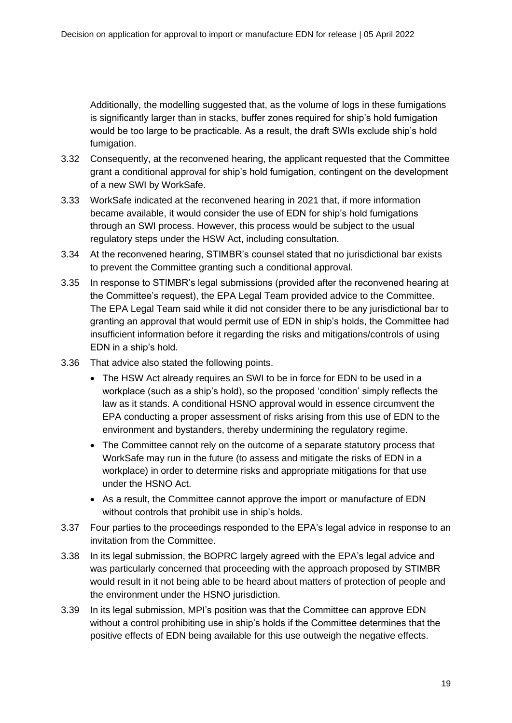Additionally, the modelling suggested that, as the volume of logs in these fumigations is significantly larger than in stacks, buffer zones required for ship's hold fumigation would be too large to be practicable. As a result, the draft SWIs exclude ship's hold fumigation.

- 3.32 Consequently, at the reconvened hearing, the applicant requested that the Committee grant a conditional approval for ship's hold fumigation, contingent on the development of a new SWI by WorkSafe.
- 3.33 WorkSafe indicated at the reconvened hearing in 2021 that, if more information became available, it would consider the use of EDN for ship's hold fumigations through an SWI process. However, this process would be subject to the usual regulatory steps under the HSW Act, including consultation.
- 3.34 At the reconvened hearing, STIMBR's counsel stated that no jurisdictional bar exists to prevent the Committee granting such a conditional approval.
- 3.35 In response to STIMBR's legal submissions (provided after the reconvened hearing at the Committee's request), the EPA Legal Team provided advice to the Committee. The EPA Legal Team said while it did not consider there to be any jurisdictional bar to granting an approval that would permit use of EDN in ship's holds, the Committee had insufficient information before it regarding the risks and mitigations/controls of using EDN in a ship's hold.
- 3.36 That advice also stated the following points.
	- The HSW Act already requires an SWI to be in force for EDN to be used in a workplace (such as a ship's hold), so the proposed 'condition' simply reflects the law as it stands. A conditional HSNO approval would in essence circumvent the EPA conducting a proper assessment of risks arising from this use of EDN to the environment and bystanders, thereby undermining the regulatory regime.
	- The Committee cannot rely on the outcome of a separate statutory process that WorkSafe may run in the future (to assess and mitigate the risks of EDN in a workplace) in order to determine risks and appropriate mitigations for that use under the HSNO Act.
	- As a result, the Committee cannot approve the import or manufacture of EDN without controls that prohibit use in ship's holds.
- 3.37 Four parties to the proceedings responded to the EPA's legal advice in response to an invitation from the Committee.
- 3.38 In its legal submission, the BOPRC largely agreed with the EPA's legal advice and was particularly concerned that proceeding with the approach proposed by STIMBR would result in it not being able to be heard about matters of protection of people and the environment under the HSNO jurisdiction.
- 3.39 In its legal submission, MPI's position was that the Committee can approve EDN without a control prohibiting use in ship's holds if the Committee determines that the positive effects of EDN being available for this use outweigh the negative effects.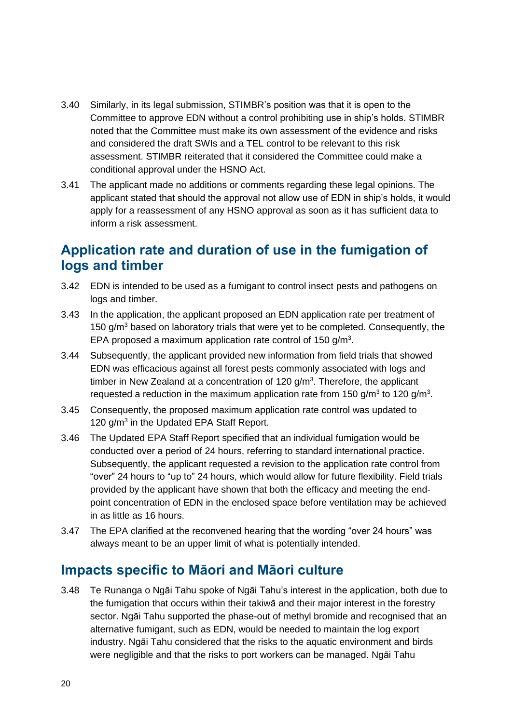- 3.40 Similarly, in its legal submission, STIMBR's position was that it is open to the Committee to approve EDN without a control prohibiting use in ship's holds. STIMBR noted that the Committee must make its own assessment of the evidence and risks and considered the draft SWIs and a TEL control to be relevant to this risk assessment. STIMBR reiterated that it considered the Committee could make a conditional approval under the HSNO Act.
- 3.41 The applicant made no additions or comments regarding these legal opinions. The applicant stated that should the approval not allow use of EDN in ship's holds, it would apply for a reassessment of any HSNO approval as soon as it has sufficient data to inform a risk assessment.

## <span id="page-19-0"></span>**Application rate and duration of use in the fumigation of logs and timber**

- 3.42 EDN is intended to be used as a fumigant to control insect pests and pathogens on logs and timber.
- 3.43 In the application, the applicant proposed an EDN application rate per treatment of 150  $q/m<sup>3</sup>$  based on laboratory trials that were yet to be completed. Consequently, the EPA proposed a maximum application rate control of 150  $g/m<sup>3</sup>$ .
- 3.44 Subsequently, the applicant provided new information from field trials that showed EDN was efficacious against all forest pests commonly associated with logs and timber in New Zealand at a concentration of  $120$  g/m<sup>3</sup>. Therefore, the applicant requested a reduction in the maximum application rate from 150 g/m<sup>3</sup> to 120 g/m<sup>3</sup>.
- 3.45 Consequently, the proposed maximum application rate control was updated to 120 g/m<sup>3</sup> in the Updated EPA Staff Report.
- 3.46 The Updated EPA Staff Report specified that an individual fumigation would be conducted over a period of 24 hours, referring to standard international practice. Subsequently, the applicant requested a revision to the application rate control from "over" 24 hours to "up to" 24 hours, which would allow for future flexibility. Field trials provided by the applicant have shown that both the efficacy and meeting the endpoint concentration of EDN in the enclosed space before ventilation may be achieved in as little as 16 hours.
- 3.47 The EPA clarified at the reconvened hearing that the wording "over 24 hours" was always meant to be an upper limit of what is potentially intended.

### <span id="page-19-1"></span>**Impacts specific to Māori and Māori culture**

3.48 Te Runanga o Ngāi Tahu spoke of Ngāi Tahu's interest in the application, both due to the fumigation that occurs within their takiwā and their major interest in the forestry sector. Ngāi Tahu supported the phase-out of methyl bromide and recognised that an alternative fumigant, such as EDN, would be needed to maintain the log export industry. Ngāi Tahu considered that the risks to the aquatic environment and birds were negligible and that the risks to port workers can be managed. Ngāi Tahu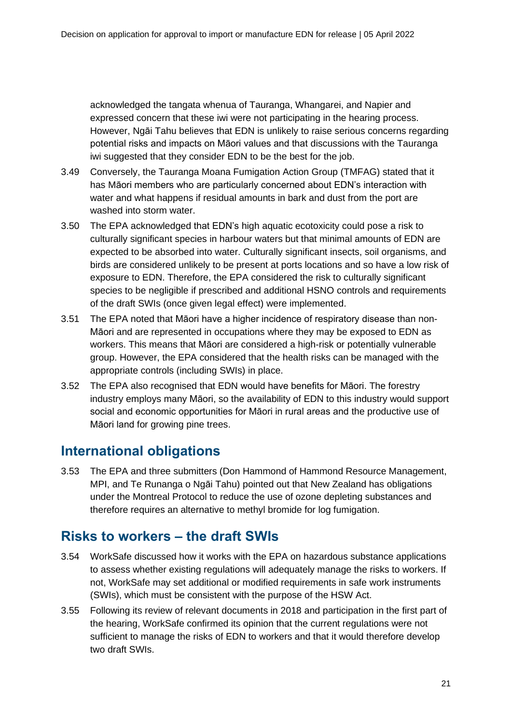acknowledged the tangata whenua of Tauranga, Whangarei, and Napier and expressed concern that these iwi were not participating in the hearing process. However, Ngāi Tahu believes that EDN is unlikely to raise serious concerns regarding potential risks and impacts on Māori values and that discussions with the Tauranga iwi suggested that they consider EDN to be the best for the job.

- 3.49 Conversely, the Tauranga Moana Fumigation Action Group (TMFAG) stated that it has Māori members who are particularly concerned about EDN's interaction with water and what happens if residual amounts in bark and dust from the port are washed into storm water.
- 3.50 The EPA acknowledged that EDN's high aquatic ecotoxicity could pose a risk to culturally significant species in harbour waters but that minimal amounts of EDN are expected to be absorbed into water. Culturally significant insects, soil organisms, and birds are considered unlikely to be present at ports locations and so have a low risk of exposure to EDN. Therefore, the EPA considered the risk to culturally significant species to be negligible if prescribed and additional HSNO controls and requirements of the draft SWIs (once given legal effect) were implemented.
- 3.51 The EPA noted that Māori have a higher incidence of respiratory disease than non-Māori and are represented in occupations where they may be exposed to EDN as workers. This means that Māori are considered a high-risk or potentially vulnerable group. However, the EPA considered that the health risks can be managed with the appropriate controls (including SWIs) in place.
- 3.52 The EPA also recognised that EDN would have benefits for Māori. The forestry industry employs many Māori, so the availability of EDN to this industry would support social and economic opportunities for Māori in rural areas and the productive use of Māori land for growing pine trees.

## <span id="page-20-0"></span>**International obligations**

3.53 The EPA and three submitters (Don Hammond of Hammond Resource Management, MPI, and Te Runanga o Ngāi Tahu) pointed out that New Zealand has obligations under the Montreal Protocol to reduce the use of ozone depleting substances and therefore requires an alternative to methyl bromide for log fumigation.

## <span id="page-20-1"></span>**Risks to workers – the draft SWIs**

- 3.54 WorkSafe discussed how it works with the EPA on hazardous substance applications to assess whether existing regulations will adequately manage the risks to workers. If not, WorkSafe may set additional or modified requirements in safe work instruments (SWIs), which must be consistent with the purpose of the HSW Act.
- 3.55 Following its review of relevant documents in 2018 and participation in the first part of the hearing, WorkSafe confirmed its opinion that the current regulations were not sufficient to manage the risks of EDN to workers and that it would therefore develop two draft SWIs.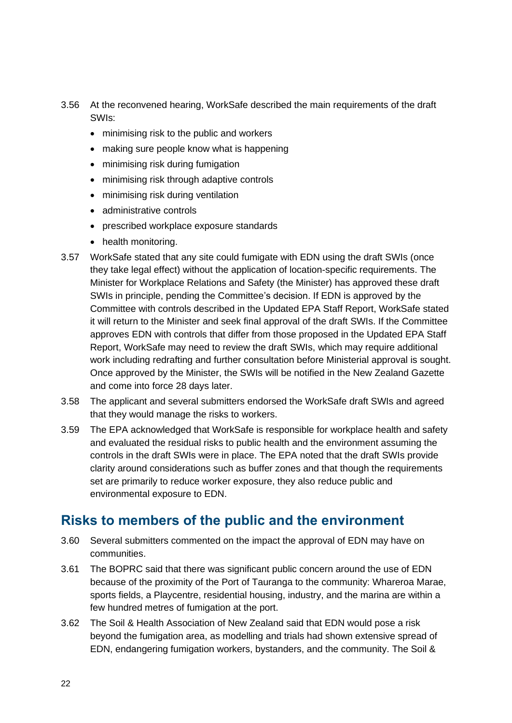- 3.56 At the reconvened hearing, WorkSafe described the main requirements of the draft SWIs:
	- minimising risk to the public and workers
	- making sure people know what is happening
	- minimising risk during fumigation
	- minimising risk through adaptive controls
	- minimising risk during ventilation
	- administrative controls
	- prescribed workplace exposure standards
	- health monitoring.
- <span id="page-21-1"></span>3.57 WorkSafe stated that any site could fumigate with EDN using the draft SWIs (once they take legal effect) without the application of location-specific requirements. The Minister for Workplace Relations and Safety (the Minister) has approved these draft SWIs in principle, pending the Committee's decision. If EDN is approved by the Committee with controls described in the Updated EPA Staff Report, WorkSafe stated it will return to the Minister and seek final approval of the draft SWIs. If the Committee approves EDN with controls that differ from those proposed in the Updated EPA Staff Report, WorkSafe may need to review the draft SWIs, which may require additional work including redrafting and further consultation before Ministerial approval is sought. Once approved by the Minister, the SWIs will be notified in the New Zealand Gazette and come into force 28 days later.
- 3.58 The applicant and several submitters endorsed the WorkSafe draft SWIs and agreed that they would manage the risks to workers.
- 3.59 The EPA acknowledged that WorkSafe is responsible for workplace health and safety and evaluated the residual risks to public health and the environment assuming the controls in the draft SWIs were in place. The EPA noted that the draft SWIs provide clarity around considerations such as buffer zones and that though the requirements set are primarily to reduce worker exposure, they also reduce public and environmental exposure to EDN.

## <span id="page-21-0"></span>**Risks to members of the public and the environment**

- 3.60 Several submitters commented on the impact the approval of EDN may have on communities.
- 3.61 The BOPRC said that there was significant public concern around the use of EDN because of the proximity of the Port of Tauranga to the community: Whareroa Marae, sports fields, a Playcentre, residential housing, industry, and the marina are within a few hundred metres of fumigation at the port.
- 3.62 The Soil & Health Association of New Zealand said that EDN would pose a risk beyond the fumigation area, as modelling and trials had shown extensive spread of EDN, endangering fumigation workers, bystanders, and the community. The Soil &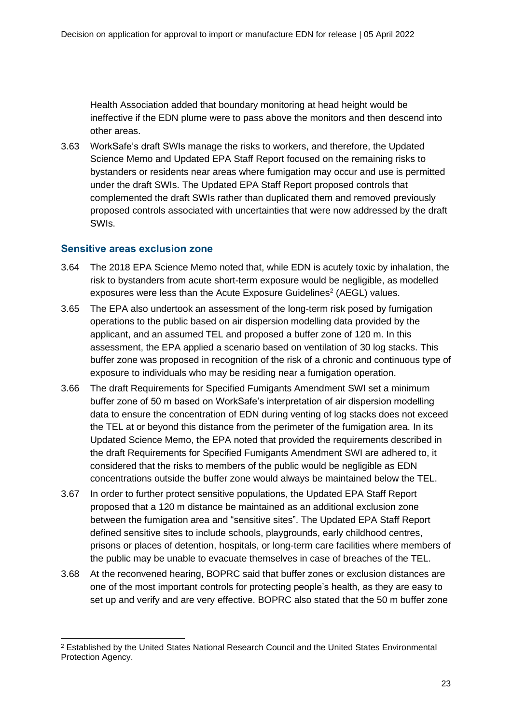Health Association added that boundary monitoring at head height would be ineffective if the EDN plume were to pass above the monitors and then descend into other areas.

3.63 WorkSafe's draft SWIs manage the risks to workers, and therefore, the Updated Science Memo and Updated EPA Staff Report focused on the remaining risks to bystanders or residents near areas where fumigation may occur and use is permitted under the draft SWIs. The Updated EPA Staff Report proposed controls that complemented the draft SWIs rather than duplicated them and removed previously proposed controls associated with uncertainties that were now addressed by the draft SWIs.

#### **Sensitive areas exclusion zone**

- 3.64 The 2018 EPA Science Memo noted that, while EDN is acutely toxic by inhalation, the risk to bystanders from acute short-term exposure would be negligible, as modelled exposures were less than the Acute Exposure Guidelines<sup>2</sup> (AEGL) values.
- 3.65 The EPA also undertook an assessment of the long-term risk posed by fumigation operations to the public based on air dispersion modelling data provided by the applicant, and an assumed TEL and proposed a buffer zone of 120 m. In this assessment, the EPA applied a scenario based on ventilation of 30 log stacks. This buffer zone was proposed in recognition of the risk of a chronic and continuous type of exposure to individuals who may be residing near a fumigation operation.
- 3.66 The draft Requirements for Specified Fumigants Amendment SWI set a minimum buffer zone of 50 m based on WorkSafe's interpretation of air dispersion modelling data to ensure the concentration of EDN during venting of log stacks does not exceed the TEL at or beyond this distance from the perimeter of the fumigation area. In its Updated Science Memo, the EPA noted that provided the requirements described in the draft Requirements for Specified Fumigants Amendment SWI are adhered to, it considered that the risks to members of the public would be negligible as EDN concentrations outside the buffer zone would always be maintained below the TEL.
- 3.67 In order to further protect sensitive populations, the Updated EPA Staff Report proposed that a 120 m distance be maintained as an additional exclusion zone between the fumigation area and "sensitive sites". The Updated EPA Staff Report defined sensitive sites to include schools, playgrounds, early childhood centres, prisons or places of detention, hospitals, or long-term care facilities where members of the public may be unable to evacuate themselves in case of breaches of the TEL.
- 3.68 At the reconvened hearing, BOPRC said that buffer zones or exclusion distances are one of the most important controls for protecting people's health, as they are easy to set up and verify and are very effective. BOPRC also stated that the 50 m buffer zone

<sup>2</sup> Established by the United States National Research Council and the United States Environmental Protection Agency.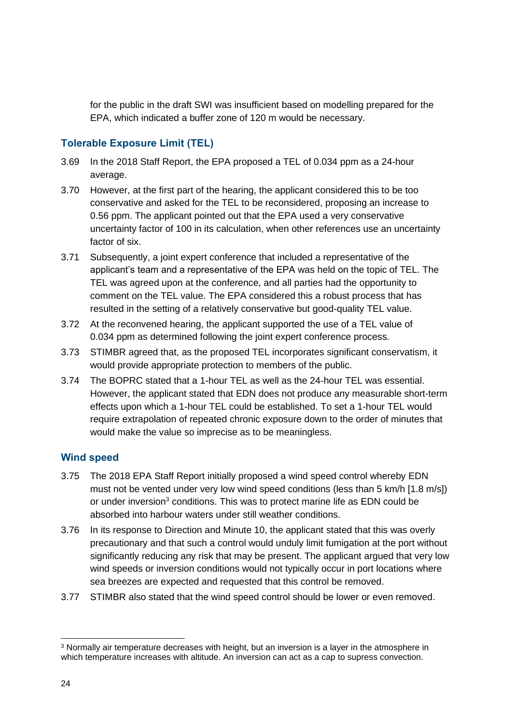for the public in the draft SWI was insufficient based on modelling prepared for the EPA, which indicated a buffer zone of 120 m would be necessary.

### **Tolerable Exposure Limit (TEL)**

- 3.69 In the 2018 Staff Report, the EPA proposed a TEL of 0.034 ppm as a 24-hour average.
- 3.70 However, at the first part of the hearing, the applicant considered this to be too conservative and asked for the TEL to be reconsidered, proposing an increase to 0.56 ppm. The applicant pointed out that the EPA used a very conservative uncertainty factor of 100 in its calculation, when other references use an uncertainty factor of six.
- 3.71 Subsequently, a joint expert conference that included a representative of the applicant's team and a representative of the EPA was held on the topic of TEL. The TEL was agreed upon at the conference, and all parties had the opportunity to comment on the TEL value. The EPA considered this a robust process that has resulted in the setting of a relatively conservative but good-quality TEL value.
- 3.72 At the reconvened hearing, the applicant supported the use of a TEL value of 0.034 ppm as determined following the joint expert conference process.
- 3.73 STIMBR agreed that, as the proposed TEL incorporates significant conservatism, it would provide appropriate protection to members of the public.
- 3.74 The BOPRC stated that a 1-hour TEL as well as the 24-hour TEL was essential. However, the applicant stated that EDN does not produce any measurable short-term effects upon which a 1-hour TEL could be established. To set a 1-hour TEL would require extrapolation of repeated chronic exposure down to the order of minutes that would make the value so imprecise as to be meaningless.

### **Wind speed**

- 3.75 The 2018 EPA Staff Report initially proposed a wind speed control whereby EDN must not be vented under very low wind speed conditions (less than 5 km/h [1.8 m/s]) or under inversion<sup>3</sup> conditions. This was to protect marine life as EDN could be absorbed into harbour waters under still weather conditions.
- 3.76 In its response to Direction and Minute 10, the applicant stated that this was overly precautionary and that such a control would unduly limit fumigation at the port without significantly reducing any risk that may be present. The applicant argued that very low wind speeds or inversion conditions would not typically occur in port locations where sea breezes are expected and requested that this control be removed.
- 3.77 STIMBR also stated that the wind speed control should be lower or even removed.

<sup>3</sup> Normally air temperature decreases with height, but an inversion is a layer in the atmosphere in which temperature increases with altitude. An inversion can act as a cap to supress convection.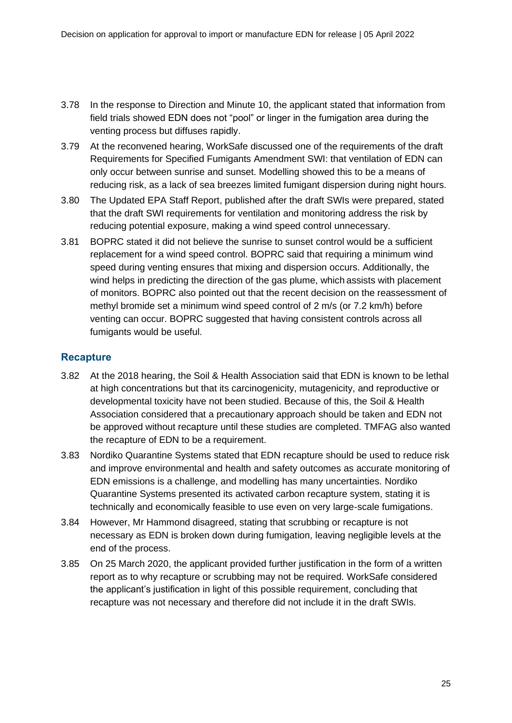- 3.78 In the response to Direction and Minute 10, the applicant stated that information from field trials showed EDN does not "pool" or linger in the fumigation area during the venting process but diffuses rapidly.
- 3.79 At the reconvened hearing, WorkSafe discussed one of the requirements of the draft Requirements for Specified Fumigants Amendment SWI: that ventilation of EDN can only occur between sunrise and sunset. Modelling showed this to be a means of reducing risk, as a lack of sea breezes limited fumigant dispersion during night hours.
- 3.80 The Updated EPA Staff Report, published after the draft SWIs were prepared, stated that the draft SWI requirements for ventilation and monitoring address the risk by reducing potential exposure, making a wind speed control unnecessary.
- 3.81 BOPRC stated it did not believe the sunrise to sunset control would be a sufficient replacement for a wind speed control. BOPRC said that requiring a minimum wind speed during venting ensures that mixing and dispersion occurs. Additionally, the wind helps in predicting the direction of the gas plume, which assists with placement of monitors. BOPRC also pointed out that the recent decision on the reassessment of methyl bromide set a minimum wind speed control of 2 m/s (or 7.2 km/h) before venting can occur. BOPRC suggested that having consistent controls across all fumigants would be useful.

### **Recapture**

- 3.82 At the 2018 hearing, the Soil & Health Association said that EDN is known to be lethal at high concentrations but that its carcinogenicity, mutagenicity, and reproductive or developmental toxicity have not been studied. Because of this, the Soil & Health Association considered that a precautionary approach should be taken and EDN not be approved without recapture until these studies are completed. TMFAG also wanted the recapture of EDN to be a requirement.
- 3.83 Nordiko Quarantine Systems stated that EDN recapture should be used to reduce risk and improve environmental and health and safety outcomes as accurate monitoring of EDN emissions is a challenge, and modelling has many uncertainties. Nordiko Quarantine Systems presented its activated carbon recapture system, stating it is technically and economically feasible to use even on very large-scale fumigations.
- 3.84 However, Mr Hammond disagreed, stating that scrubbing or recapture is not necessary as EDN is broken down during fumigation, leaving negligible levels at the end of the process.
- 3.85 On 25 March 2020, the applicant provided further justification in the form of a written report as to why recapture or scrubbing may not be required. WorkSafe considered the applicant's justification in light of this possible requirement, concluding that recapture was not necessary and therefore did not include it in the draft SWIs.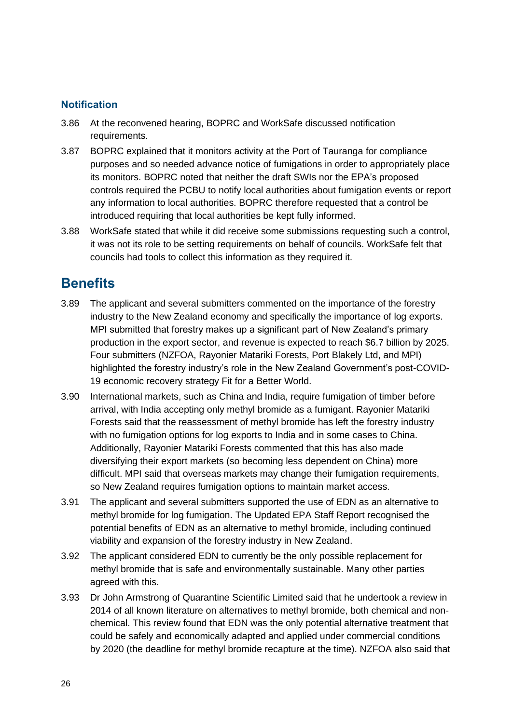### **Notification**

- 3.86 At the reconvened hearing, BOPRC and WorkSafe discussed notification requirements.
- 3.87 BOPRC explained that it monitors activity at the Port of Tauranga for compliance purposes and so needed advance notice of fumigations in order to appropriately place its monitors. BOPRC noted that neither the draft SWIs nor the EPA's proposed controls required the PCBU to notify local authorities about fumigation events or report any information to local authorities. BOPRC therefore requested that a control be introduced requiring that local authorities be kept fully informed.
- 3.88 WorkSafe stated that while it did receive some submissions requesting such a control, it was not its role to be setting requirements on behalf of councils. WorkSafe felt that councils had tools to collect this information as they required it.

## <span id="page-25-0"></span>**Benefits**

- 3.89 The applicant and several submitters commented on the importance of the forestry industry to the New Zealand economy and specifically the importance of log exports. MPI submitted that forestry makes up a significant part of New Zealand's primary production in the export sector, and revenue is expected to reach \$6.7 billion by 2025. Four submitters (NZFOA, Rayonier Matariki Forests, Port Blakely Ltd, and MPI) highlighted the forestry industry's role in the New Zealand Government's post-COVID-19 economic recovery strategy Fit for a Better World.
- 3.90 International markets, such as China and India, require fumigation of timber before arrival, with India accepting only methyl bromide as a fumigant. Rayonier Matariki Forests said that the reassessment of methyl bromide has left the forestry industry with no fumigation options for log exports to India and in some cases to China. Additionally, Rayonier Matariki Forests commented that this has also made diversifying their export markets (so becoming less dependent on China) more difficult. MPI said that overseas markets may change their fumigation requirements, so New Zealand requires fumigation options to maintain market access.
- 3.91 The applicant and several submitters supported the use of EDN as an alternative to methyl bromide for log fumigation. The Updated EPA Staff Report recognised the potential benefits of EDN as an alternative to methyl bromide, including continued viability and expansion of the forestry industry in New Zealand.
- 3.92 The applicant considered EDN to currently be the only possible replacement for methyl bromide that is safe and environmentally sustainable. Many other parties agreed with this.
- 3.93 Dr John Armstrong of Quarantine Scientific Limited said that he undertook a review in 2014 of all known literature on alternatives to methyl bromide, both chemical and nonchemical. This review found that EDN was the only potential alternative treatment that could be safely and economically adapted and applied under commercial conditions by 2020 (the deadline for methyl bromide recapture at the time). NZFOA also said that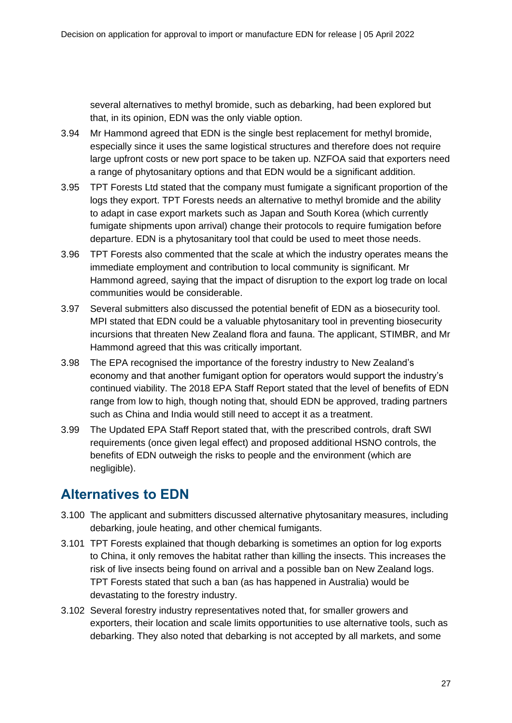several alternatives to methyl bromide, such as debarking, had been explored but that, in its opinion, EDN was the only viable option.

- 3.94 Mr Hammond agreed that EDN is the single best replacement for methyl bromide, especially since it uses the same logistical structures and therefore does not require large upfront costs or new port space to be taken up. NZFOA said that exporters need a range of phytosanitary options and that EDN would be a significant addition.
- 3.95 TPT Forests Ltd stated that the company must fumigate a significant proportion of the logs they export. TPT Forests needs an alternative to methyl bromide and the ability to adapt in case export markets such as Japan and South Korea (which currently fumigate shipments upon arrival) change their protocols to require fumigation before departure. EDN is a phytosanitary tool that could be used to meet those needs.
- 3.96 TPT Forests also commented that the scale at which the industry operates means the immediate employment and contribution to local community is significant. Mr Hammond agreed, saying that the impact of disruption to the export log trade on local communities would be considerable.
- 3.97 Several submitters also discussed the potential benefit of EDN as a biosecurity tool. MPI stated that EDN could be a valuable phytosanitary tool in preventing biosecurity incursions that threaten New Zealand flora and fauna. The applicant, STIMBR, and Mr Hammond agreed that this was critically important.
- 3.98 The EPA recognised the importance of the forestry industry to New Zealand's economy and that another fumigant option for operators would support the industry's continued viability. The 2018 EPA Staff Report stated that the level of benefits of EDN range from low to high, though noting that, should EDN be approved, trading partners such as China and India would still need to accept it as a treatment.
- 3.99 The Updated EPA Staff Report stated that, with the prescribed controls, draft SWI requirements (once given legal effect) and proposed additional HSNO controls, the benefits of EDN outweigh the risks to people and the environment (which are negligible).

## <span id="page-26-0"></span>**Alternatives to EDN**

- 3.100 The applicant and submitters discussed alternative phytosanitary measures, including debarking, joule heating, and other chemical fumigants.
- 3.101 TPT Forests explained that though debarking is sometimes an option for log exports to China, it only removes the habitat rather than killing the insects. This increases the risk of live insects being found on arrival and a possible ban on New Zealand logs. TPT Forests stated that such a ban (as has happened in Australia) would be devastating to the forestry industry.
- 3.102 Several forestry industry representatives noted that, for smaller growers and exporters, their location and scale limits opportunities to use alternative tools, such as debarking. They also noted that debarking is not accepted by all markets, and some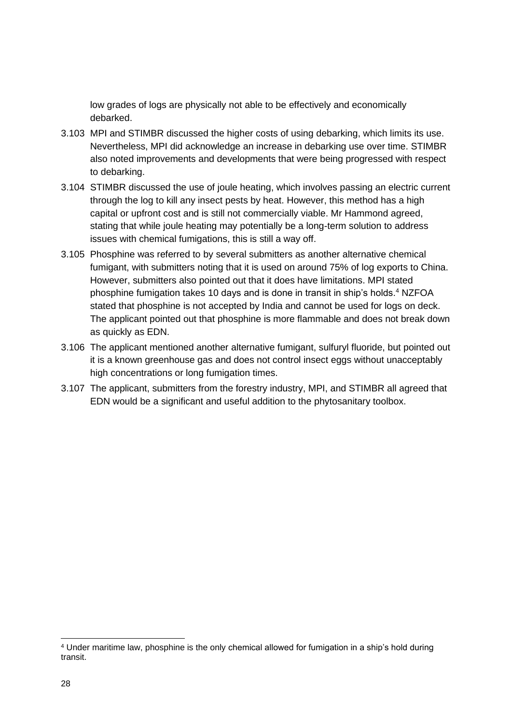low grades of logs are physically not able to be effectively and economically debarked.

- 3.103 MPI and STIMBR discussed the higher costs of using debarking, which limits its use. Nevertheless, MPI did acknowledge an increase in debarking use over time. STIMBR also noted improvements and developments that were being progressed with respect to debarking.
- 3.104 STIMBR discussed the use of joule heating, which involves passing an electric current through the log to kill any insect pests by heat. However, this method has a high capital or upfront cost and is still not commercially viable. Mr Hammond agreed, stating that while joule heating may potentially be a long-term solution to address issues with chemical fumigations, this is still a way off.
- 3.105 Phosphine was referred to by several submitters as another alternative chemical fumigant, with submitters noting that it is used on around 75% of log exports to China. However, submitters also pointed out that it does have limitations. MPI stated phosphine fumigation takes 10 days and is done in transit in ship's holds. <sup>4</sup> NZFOA stated that phosphine is not accepted by India and cannot be used for logs on deck. The applicant pointed out that phosphine is more flammable and does not break down as quickly as EDN.
- 3.106 The applicant mentioned another alternative fumigant, sulfuryl fluoride, but pointed out it is a known greenhouse gas and does not control insect eggs without unacceptably high concentrations or long fumigation times.
- 3.107 The applicant, submitters from the forestry industry, MPI, and STIMBR all agreed that EDN would be a significant and useful addition to the phytosanitary toolbox.

<sup>4</sup> Under maritime law, phosphine is the only chemical allowed for fumigation in a ship's hold during transit.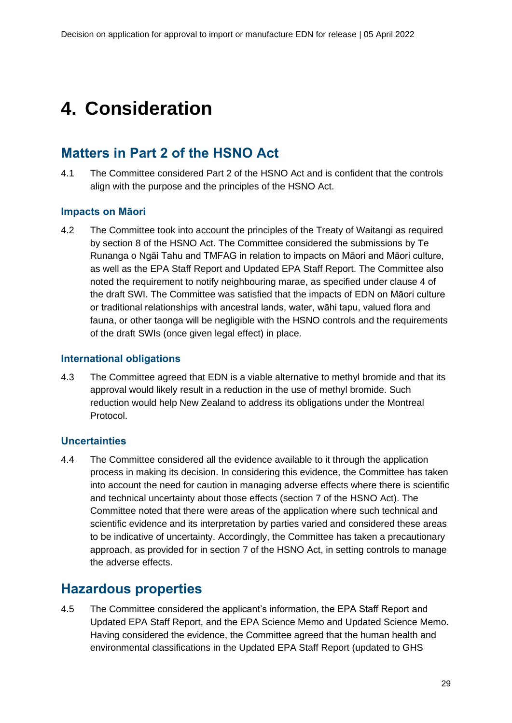# <span id="page-28-0"></span>**4. Consideration**

## <span id="page-28-1"></span>**Matters in Part 2 of the HSNO Act**

4.1 The Committee considered Part 2 of the HSNO Act and is confident that the controls align with the purpose and the principles of the HSNO Act.

#### **Impacts on Māori**

4.2 The Committee took into account the principles of the Treaty of Waitangi as required by section 8 of the HSNO Act. The Committee considered the submissions by Te Runanga o Ngāi Tahu and TMFAG in relation to impacts on Māori and Māori culture, as well as the EPA Staff Report and Updated EPA Staff Report. The Committee also noted the requirement to notify neighbouring marae, as specified under clause 4 of the draft SWI. The Committee was satisfied that the impacts of EDN on Māori culture or traditional relationships with ancestral lands, water, wāhi tapu, valued flora and fauna, or other taonga will be negligible with the HSNO controls and the requirements of the draft SWIs (once given legal effect) in place.

#### **International obligations**

4.3 The Committee agreed that EDN is a viable alternative to methyl bromide and that its approval would likely result in a reduction in the use of methyl bromide. Such reduction would help New Zealand to address its obligations under the Montreal Protocol.

#### **Uncertainties**

4.4 The Committee considered all the evidence available to it through the application process in making its decision. In considering this evidence, the Committee has taken into account the need for caution in managing adverse effects where there is scientific and technical uncertainty about those effects (section 7 of the HSNO Act). The Committee noted that there were areas of the application where such technical and scientific evidence and its interpretation by parties varied and considered these areas to be indicative of uncertainty. Accordingly, the Committee has taken a precautionary approach, as provided for in section 7 of the HSNO Act, in setting controls to manage the adverse effects.

### <span id="page-28-2"></span>**Hazardous properties**

4.5 The Committee considered the applicant's information, the EPA Staff Report and Updated EPA Staff Report, and the EPA Science Memo and Updated Science Memo. Having considered the evidence, the Committee agreed that the human health and environmental classifications in the Updated EPA Staff Report (updated to GHS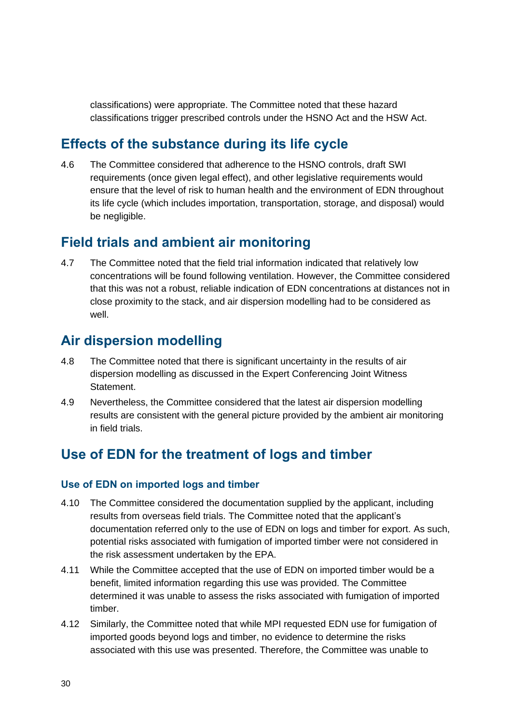classifications) were appropriate. The Committee noted that these hazard classifications trigger prescribed controls under the HSNO Act and the HSW Act.

## <span id="page-29-0"></span>**Effects of the substance during its life cycle**

4.6 The Committee considered that adherence to the HSNO controls, draft SWI requirements (once given legal effect), and other legislative requirements would ensure that the level of risk to human health and the environment of EDN throughout its life cycle (which includes importation, transportation, storage, and disposal) would be negligible.

### <span id="page-29-1"></span>**Field trials and ambient air monitoring**

4.7 The Committee noted that the field trial information indicated that relatively low concentrations will be found following ventilation. However, the Committee considered that this was not a robust, reliable indication of EDN concentrations at distances not in close proximity to the stack, and air dispersion modelling had to be considered as well.

### <span id="page-29-2"></span>**Air dispersion modelling**

- 4.8 The Committee noted that there is significant uncertainty in the results of air dispersion modelling as discussed in the Expert Conferencing Joint Witness Statement.
- 4.9 Nevertheless, the Committee considered that the latest air dispersion modelling results are consistent with the general picture provided by the ambient air monitoring in field trials.

## <span id="page-29-3"></span>**Use of EDN for the treatment of logs and timber**

#### **Use of EDN on imported logs and timber**

- 4.10 The Committee considered the documentation supplied by the applicant, including results from overseas field trials. The Committee noted that the applicant's documentation referred only to the use of EDN on logs and timber for export. As such, potential risks associated with fumigation of imported timber were not considered in the risk assessment undertaken by the EPA.
- 4.11 While the Committee accepted that the use of EDN on imported timber would be a benefit, limited information regarding this use was provided. The Committee determined it was unable to assess the risks associated with fumigation of imported timber.
- 4.12 Similarly, the Committee noted that while MPI requested EDN use for fumigation of imported goods beyond logs and timber, no evidence to determine the risks associated with this use was presented. Therefore, the Committee was unable to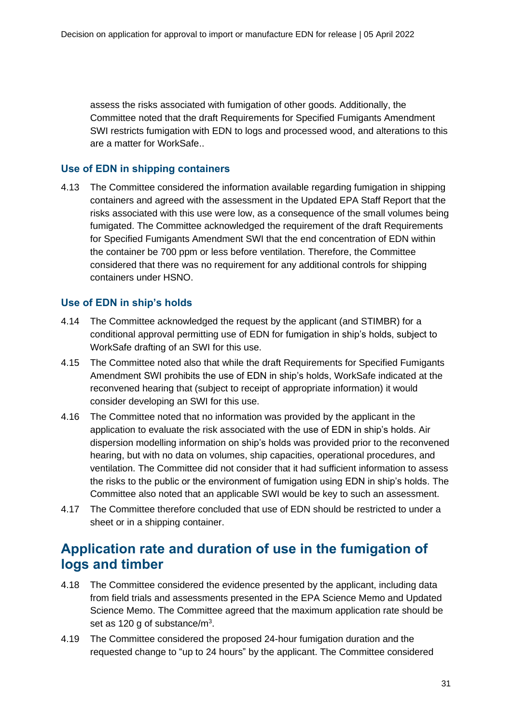assess the risks associated with fumigation of other goods. Additionally, the Committee noted that the draft Requirements for Specified Fumigants Amendment SWI restricts fumigation with EDN to logs and processed wood, and alterations to this are a matter for WorkSafe..

### **Use of EDN in shipping containers**

4.13 The Committee considered the information available regarding fumigation in shipping containers and agreed with the assessment in the Updated EPA Staff Report that the risks associated with this use were low, as a consequence of the small volumes being fumigated. The Committee acknowledged the requirement of the draft Requirements for Specified Fumigants Amendment SWI that the end concentration of EDN within the container be 700 ppm or less before ventilation. Therefore, the Committee considered that there was no requirement for any additional controls for shipping containers under HSNO.

### **Use of EDN in ship's holds**

- 4.14 The Committee acknowledged the request by the applicant (and STIMBR) for a conditional approval permitting use of EDN for fumigation in ship's holds, subject to WorkSafe drafting of an SWI for this use.
- 4.15 The Committee noted also that while the draft Requirements for Specified Fumigants Amendment SWI prohibits the use of EDN in ship's holds, WorkSafe indicated at the reconvened hearing that (subject to receipt of appropriate information) it would consider developing an SWI for this use.
- 4.16 The Committee noted that no information was provided by the applicant in the application to evaluate the risk associated with the use of EDN in ship's holds. Air dispersion modelling information on ship's holds was provided prior to the reconvened hearing, but with no data on volumes, ship capacities, operational procedures, and ventilation. The Committee did not consider that it had sufficient information to assess the risks to the public or the environment of fumigation using EDN in ship's holds. The Committee also noted that an applicable SWI would be key to such an assessment.
- 4.17 The Committee therefore concluded that use of EDN should be restricted to under a sheet or in a shipping container.

## <span id="page-30-0"></span>**Application rate and duration of use in the fumigation of logs and timber**

- 4.18 The Committee considered the evidence presented by the applicant, including data from field trials and assessments presented in the EPA Science Memo and Updated Science Memo. The Committee agreed that the maximum application rate should be set as 120 g of substance/ $m<sup>3</sup>$ .
- 4.19 The Committee considered the proposed 24-hour fumigation duration and the requested change to "up to 24 hours" by the applicant. The Committee considered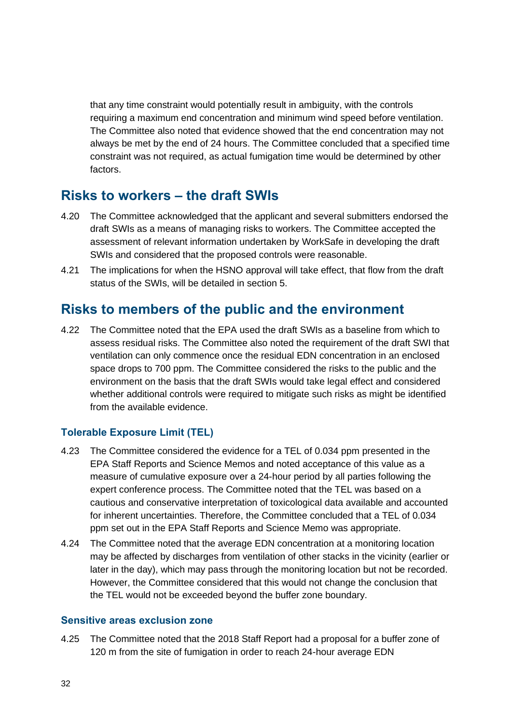that any time constraint would potentially result in ambiguity, with the controls requiring a maximum end concentration and minimum wind speed before ventilation. The Committee also noted that evidence showed that the end concentration may not always be met by the end of 24 hours. The Committee concluded that a specified time constraint was not required, as actual fumigation time would be determined by other factors.

## <span id="page-31-0"></span>**Risks to workers – the draft SWIs**

- 4.20 The Committee acknowledged that the applicant and several submitters endorsed the draft SWIs as a means of managing risks to workers. The Committee accepted the assessment of relevant information undertaken by WorkSafe in developing the draft SWIs and considered that the proposed controls were reasonable.
- 4.21 The implications for when the HSNO approval will take effect, that flow from the draft status of the SWIs, will be detailed in section 5.

## <span id="page-31-1"></span>**Risks to members of the public and the environment**

4.22 The Committee noted that the EPA used the draft SWIs as a baseline from which to assess residual risks. The Committee also noted the requirement of the draft SWI that ventilation can only commence once the residual EDN concentration in an enclosed space drops to 700 ppm. The Committee considered the risks to the public and the environment on the basis that the draft SWIs would take legal effect and considered whether additional controls were required to mitigate such risks as might be identified from the available evidence.

### **Tolerable Exposure Limit (TEL)**

- 4.23 The Committee considered the evidence for a TEL of 0.034 ppm presented in the EPA Staff Reports and Science Memos and noted acceptance of this value as a measure of cumulative exposure over a 24-hour period by all parties following the expert conference process. The Committee noted that the TEL was based on a cautious and conservative interpretation of toxicological data available and accounted for inherent uncertainties. Therefore, the Committee concluded that a TEL of 0.034 ppm set out in the EPA Staff Reports and Science Memo was appropriate.
- 4.24 The Committee noted that the average EDN concentration at a monitoring location may be affected by discharges from ventilation of other stacks in the vicinity (earlier or later in the day), which may pass through the monitoring location but not be recorded. However, the Committee considered that this would not change the conclusion that the TEL would not be exceeded beyond the buffer zone boundary.

#### **Sensitive areas exclusion zone**

4.25 The Committee noted that the 2018 Staff Report had a proposal for a buffer zone of 120 m from the site of fumigation in order to reach 24-hour average EDN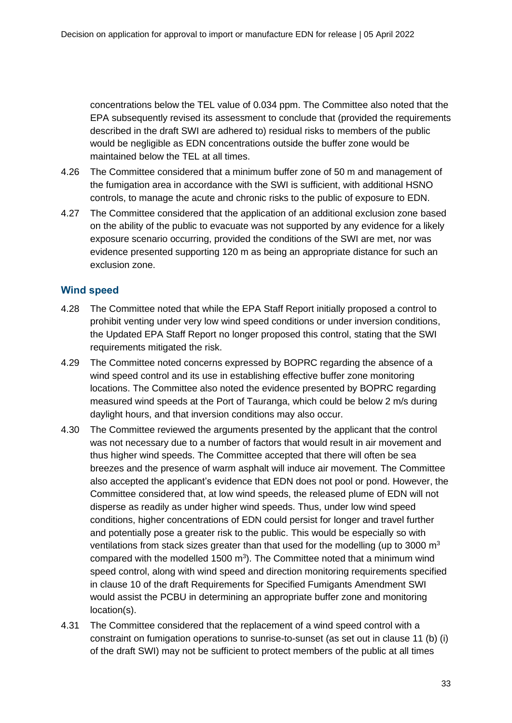concentrations below the TEL value of 0.034 ppm. The Committee also noted that the EPA subsequently revised its assessment to conclude that (provided the requirements described in the draft SWI are adhered to) residual risks to members of the public would be negligible as EDN concentrations outside the buffer zone would be maintained below the TEL at all times.

- 4.26 The Committee considered that a minimum buffer zone of 50 m and management of the fumigation area in accordance with the SWI is sufficient, with additional HSNO controls, to manage the acute and chronic risks to the public of exposure to EDN.
- 4.27 The Committee considered that the application of an additional exclusion zone based on the ability of the public to evacuate was not supported by any evidence for a likely exposure scenario occurring, provided the conditions of the SWI are met, nor was evidence presented supporting 120 m as being an appropriate distance for such an exclusion zone.

### **Wind speed**

- 4.28 The Committee noted that while the EPA Staff Report initially proposed a control to prohibit venting under very low wind speed conditions or under inversion conditions, the Updated EPA Staff Report no longer proposed this control, stating that the SWI requirements mitigated the risk.
- 4.29 The Committee noted concerns expressed by BOPRC regarding the absence of a wind speed control and its use in establishing effective buffer zone monitoring locations. The Committee also noted the evidence presented by BOPRC regarding measured wind speeds at the Port of Tauranga, which could be below 2 m/s during daylight hours, and that inversion conditions may also occur.
- 4.30 The Committee reviewed the arguments presented by the applicant that the control was not necessary due to a number of factors that would result in air movement and thus higher wind speeds. The Committee accepted that there will often be sea breezes and the presence of warm asphalt will induce air movement. The Committee also accepted the applicant's evidence that EDN does not pool or pond. However, the Committee considered that, at low wind speeds, the released plume of EDN will not disperse as readily as under higher wind speeds. Thus, under low wind speed conditions, higher concentrations of EDN could persist for longer and travel further and potentially pose a greater risk to the public. This would be especially so with ventilations from stack sizes greater than that used for the modelling (up to 3000  $m<sup>3</sup>$ compared with the modelled 1500  $m<sup>3</sup>$ ). The Committee noted that a minimum wind speed control, along with wind speed and direction monitoring requirements specified in clause 10 of the draft Requirements for Specified Fumigants Amendment SWI would assist the PCBU in determining an appropriate buffer zone and monitoring location(s).
- 4.31 The Committee considered that the replacement of a wind speed control with a constraint on fumigation operations to sunrise-to-sunset (as set out in clause 11 (b) (i) of the draft SWI) may not be sufficient to protect members of the public at all times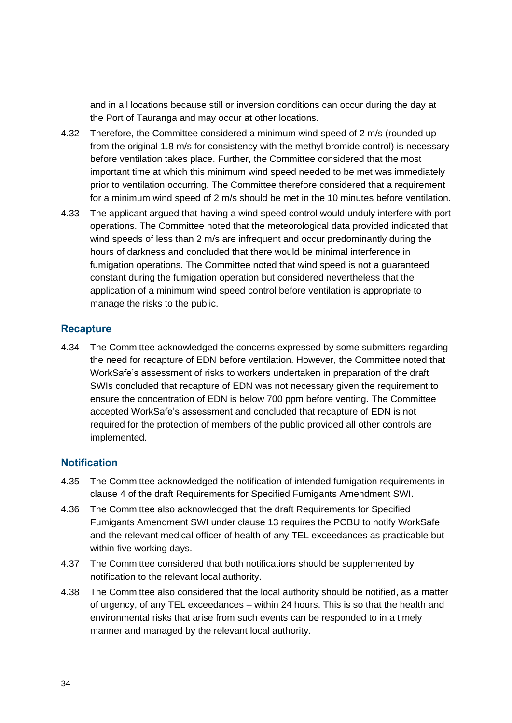and in all locations because still or inversion conditions can occur during the day at the Port of Tauranga and may occur at other locations.

- 4.32 Therefore, the Committee considered a minimum wind speed of 2 m/s (rounded up from the original 1.8 m/s for consistency with the methyl bromide control) is necessary before ventilation takes place. Further, the Committee considered that the most important time at which this minimum wind speed needed to be met was immediately prior to ventilation occurring. The Committee therefore considered that a requirement for a minimum wind speed of 2 m/s should be met in the 10 minutes before ventilation.
- 4.33 The applicant argued that having a wind speed control would unduly interfere with port operations. The Committee noted that the meteorological data provided indicated that wind speeds of less than 2 m/s are infrequent and occur predominantly during the hours of darkness and concluded that there would be minimal interference in fumigation operations. The Committee noted that wind speed is not a guaranteed constant during the fumigation operation but considered nevertheless that the application of a minimum wind speed control before ventilation is appropriate to manage the risks to the public.

#### **Recapture**

4.34 The Committee acknowledged the concerns expressed by some submitters regarding the need for recapture of EDN before ventilation. However, the Committee noted that WorkSafe's assessment of risks to workers undertaken in preparation of the draft SWIs concluded that recapture of EDN was not necessary given the requirement to ensure the concentration of EDN is below 700 ppm before venting. The Committee accepted WorkSafe's assessment and concluded that recapture of EDN is not required for the protection of members of the public provided all other controls are implemented.

#### **Notification**

- 4.35 The Committee acknowledged the notification of intended fumigation requirements in clause 4 of the draft Requirements for Specified Fumigants Amendment SWI.
- 4.36 The Committee also acknowledged that the draft Requirements for Specified Fumigants Amendment SWI under clause 13 requires the PCBU to notify WorkSafe and the relevant medical officer of health of any TEL exceedances as practicable but within five working days.
- 4.37 The Committee considered that both notifications should be supplemented by notification to the relevant local authority.
- 4.38 The Committee also considered that the local authority should be notified, as a matter of urgency, of any TEL exceedances – within 24 hours. This is so that the health and environmental risks that arise from such events can be responded to in a timely manner and managed by the relevant local authority.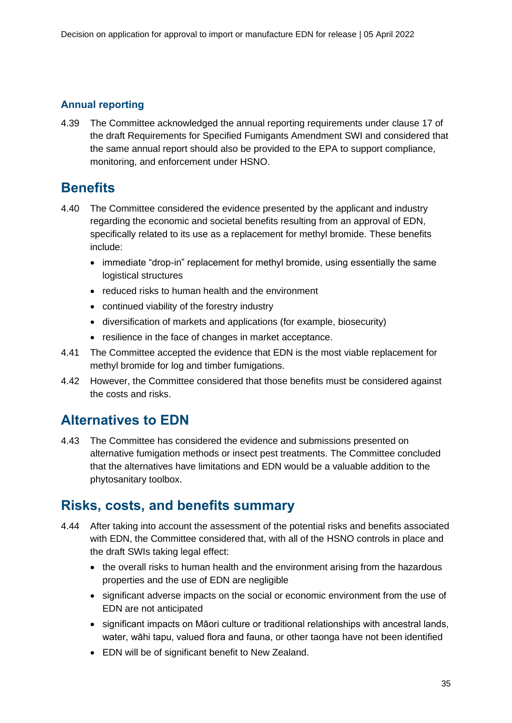### **Annual reporting**

4.39 The Committee acknowledged the annual reporting requirements under clause 17 of the draft Requirements for Specified Fumigants Amendment SWI and considered that the same annual report should also be provided to the EPA to support compliance, monitoring, and enforcement under HSNO.

## <span id="page-34-0"></span>**Benefits**

- 4.40 The Committee considered the evidence presented by the applicant and industry regarding the economic and societal benefits resulting from an approval of EDN, specifically related to its use as a replacement for methyl bromide. These benefits include:
	- immediate "drop-in" replacement for methyl bromide, using essentially the same logistical structures
	- reduced risks to human health and the environment
	- continued viability of the forestry industry
	- diversification of markets and applications (for example, biosecurity)
	- resilience in the face of changes in market acceptance.
- 4.41 The Committee accepted the evidence that EDN is the most viable replacement for methyl bromide for log and timber fumigations.
- 4.42 However, the Committee considered that those benefits must be considered against the costs and risks.

## <span id="page-34-1"></span>**Alternatives to EDN**

4.43 The Committee has considered the evidence and submissions presented on alternative fumigation methods or insect pest treatments. The Committee concluded that the alternatives have limitations and EDN would be a valuable addition to the phytosanitary toolbox.

### <span id="page-34-2"></span>**Risks, costs, and benefits summary**

- 4.44 After taking into account the assessment of the potential risks and benefits associated with EDN, the Committee considered that, with all of the HSNO controls in place and the draft SWIs taking legal effect:
	- the overall risks to human health and the environment arising from the hazardous properties and the use of EDN are negligible
	- significant adverse impacts on the social or economic environment from the use of EDN are not anticipated
	- significant impacts on Māori culture or traditional relationships with ancestral lands, water, wāhi tapu, valued flora and fauna, or other taonga have not been identified
	- EDN will be of significant benefit to New Zealand.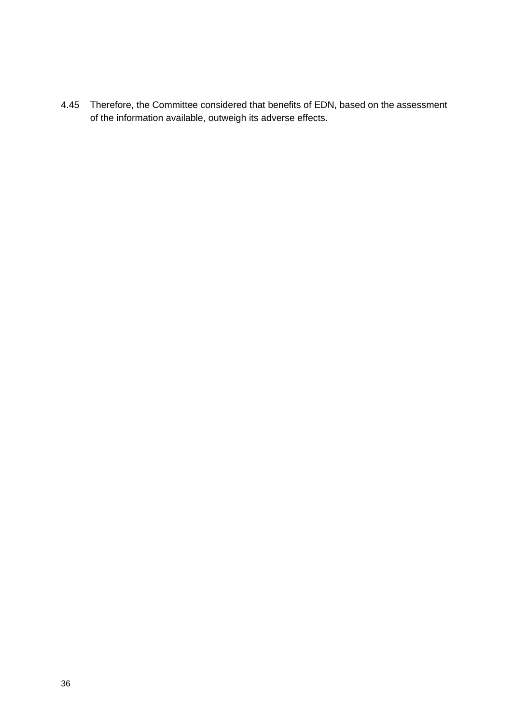4.45 Therefore, the Committee considered that benefits of EDN, based on the assessment of the information available, outweigh its adverse effects.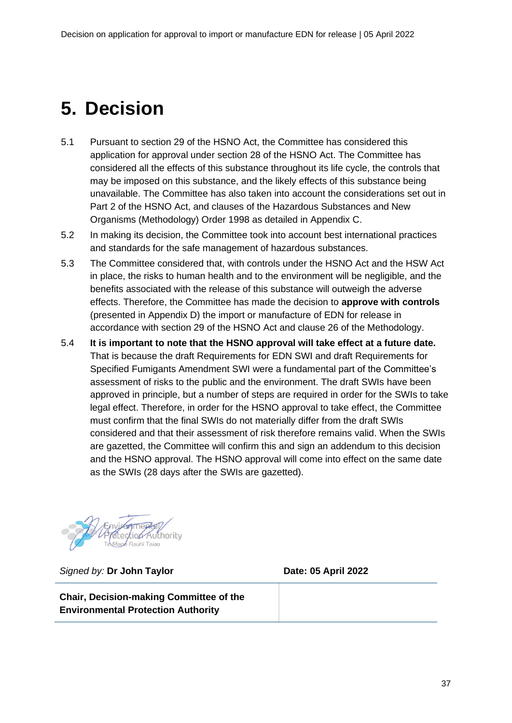# <span id="page-36-0"></span>**5. Decision**

- 5.1 Pursuant to section 29 of the HSNO Act, the Committee has considered this application for approval under section 28 of the HSNO Act. The Committee has considered all the effects of this substance throughout its life cycle, the controls that may be imposed on this substance, and the likely effects of this substance being unavailable. The Committee has also taken into account the considerations set out in Part 2 of the HSNO Act, and clauses of the Hazardous Substances and New Organisms (Methodology) Order 1998 as detailed in Appendix C.
- 5.2 In making its decision, the Committee took into account best international practices and standards for the safe management of hazardous substances.
- 5.3 The Committee considered that, with controls under the HSNO Act and the HSW Act in place, the risks to human health and to the environment will be negligible, and the benefits associated with the release of this substance will outweigh the adverse effects. Therefore, the Committee has made the decision to **approve with controls** (presented in Appendix D) the import or manufacture of EDN for release in accordance with section 29 of the HSNO Act and clause 26 of the Methodology.
- 5.4 **It is important to note that the HSNO approval will take effect at a future date.** That is because the draft Requirements for EDN SWI and draft Requirements for Specified Fumigants Amendment SWI were a fundamental part of the Committee's assessment of risks to the public and the environment. The draft SWIs have been approved in principle, but a number of steps are required in order for the SWIs to take legal effect. Therefore, in order for the HSNO approval to take effect, the Committee must confirm that the final SWIs do not materially differ from the draft SWIs considered and that their assessment of risk therefore remains valid. When the SWIs are gazetted, the Committee will confirm this and sign an addendum to this decision and the HSNO approval. The HSNO approval will come into effect on the same date as the SWIs (28 days after the SWIs are gazetted).



*Signed by:* **Dr John Taylor Date: 05 April 2022**

**Chair, Decision-making Committee of the Environmental Protection Authority**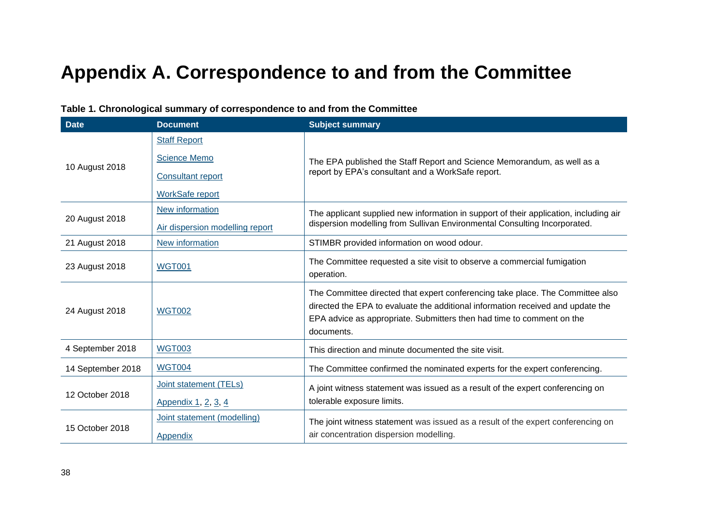# **Appendix A. Correspondence to and from the Committee**

<span id="page-37-0"></span>

| <b>Date</b>       | <b>Document</b>                                                                                  | <b>Subject summary</b>                                                                                                                                                                                                                                   |  |
|-------------------|--------------------------------------------------------------------------------------------------|----------------------------------------------------------------------------------------------------------------------------------------------------------------------------------------------------------------------------------------------------------|--|
| 10 August 2018    | <b>Staff Report</b><br><b>Science Memo</b><br><b>Consultant report</b><br><b>WorkSafe report</b> | The EPA published the Staff Report and Science Memorandum, as well as a<br>report by EPA's consultant and a WorkSafe report.                                                                                                                             |  |
| 20 August 2018    | New information<br>Air dispersion modelling report                                               | The applicant supplied new information in support of their application, including air<br>dispersion modelling from Sullivan Environmental Consulting Incorporated.                                                                                       |  |
| 21 August 2018    | New information                                                                                  | STIMBR provided information on wood odour.                                                                                                                                                                                                               |  |
| 23 August 2018    | <b>WGT001</b>                                                                                    | The Committee requested a site visit to observe a commercial fumigation<br>operation.                                                                                                                                                                    |  |
| 24 August 2018    | <b>WGT002</b>                                                                                    | The Committee directed that expert conferencing take place. The Committee also<br>directed the EPA to evaluate the additional information received and update the<br>EPA advice as appropriate. Submitters then had time to comment on the<br>documents. |  |
| 4 September 2018  | <b>WGT003</b>                                                                                    | This direction and minute documented the site visit.                                                                                                                                                                                                     |  |
| 14 September 2018 | <b>WGT004</b>                                                                                    | The Committee confirmed the nominated experts for the expert conferencing.                                                                                                                                                                               |  |
| 12 October 2018   | Joint statement (TELs)<br>Appendix 1, 2, 3, 4                                                    | A joint witness statement was issued as a result of the expert conferencing on<br>tolerable exposure limits.                                                                                                                                             |  |
| 15 October 2018   | Joint statement (modelling)<br>Appendix                                                          | The joint witness statement was issued as a result of the expert conferencing on<br>air concentration dispersion modelling.                                                                                                                              |  |

### **Table 1. Chronological summary of correspondence to and from the Committee**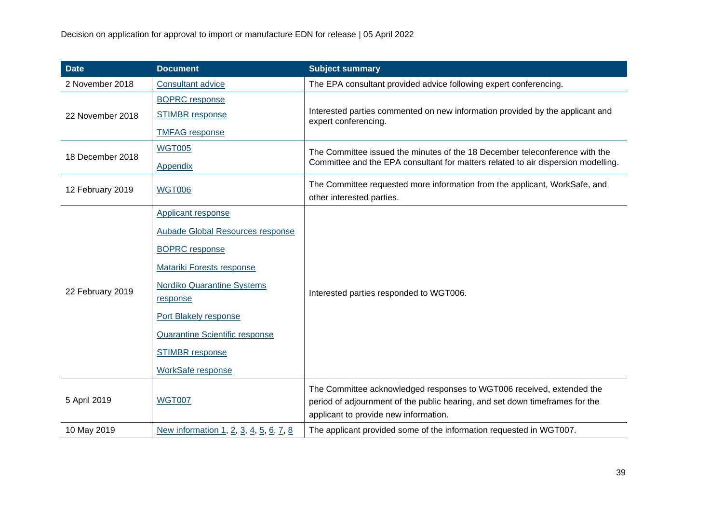| <b>Date</b>      | <b>Document</b>                        | <b>Subject summary</b>                                                                                |  |  |
|------------------|----------------------------------------|-------------------------------------------------------------------------------------------------------|--|--|
| 2 November 2018  | <b>Consultant advice</b>               | The EPA consultant provided advice following expert conferencing.                                     |  |  |
|                  | <b>BOPRC</b> response                  |                                                                                                       |  |  |
| 22 November 2018 | <b>STIMBR</b> response                 | Interested parties commented on new information provided by the applicant and<br>expert conferencing. |  |  |
|                  | <b>TMFAG</b> response                  |                                                                                                       |  |  |
| 18 December 2018 | <b>WGT005</b>                          | The Committee issued the minutes of the 18 December teleconference with the                           |  |  |
|                  | Appendix                               | Committee and the EPA consultant for matters related to air dispersion modelling.                     |  |  |
| 12 February 2019 | <b>WGT006</b>                          | The Committee requested more information from the applicant, WorkSafe, and                            |  |  |
|                  |                                        | other interested parties.                                                                             |  |  |
|                  | <b>Applicant response</b>              |                                                                                                       |  |  |
|                  | Aubade Global Resources response       |                                                                                                       |  |  |
|                  | <b>BOPRC</b> response                  |                                                                                                       |  |  |
|                  | <b>Matariki Forests response</b>       |                                                                                                       |  |  |
| 22 February 2019 | <b>Nordiko Quarantine Systems</b>      |                                                                                                       |  |  |
|                  | response                               | Interested parties responded to WGT006.                                                               |  |  |
|                  | Port Blakely response                  |                                                                                                       |  |  |
|                  | <b>Quarantine Scientific response</b>  |                                                                                                       |  |  |
|                  | <b>STIMBR</b> response                 |                                                                                                       |  |  |
|                  | <b>WorkSafe response</b>               |                                                                                                       |  |  |
|                  |                                        | The Committee acknowledged responses to WGT006 received, extended the                                 |  |  |
| 5 April 2019     | <b>WGT007</b>                          | period of adjournment of the public hearing, and set down timeframes for the                          |  |  |
|                  |                                        | applicant to provide new information.                                                                 |  |  |
| 10 May 2019      | New information 1, 2, 3, 4, 5, 6, 7, 8 | The applicant provided some of the information requested in WGT007.                                   |  |  |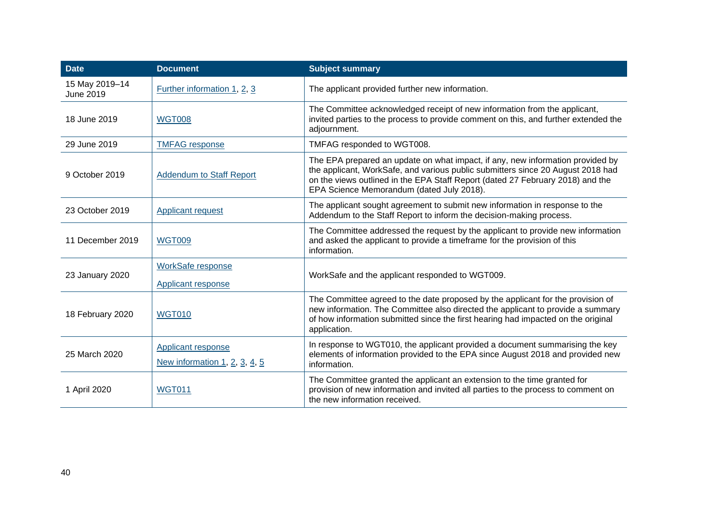| <b>Date</b>                   | <b>Document</b>                                     | <b>Subject summary</b>                                                                                                                                                                                                                                                                           |
|-------------------------------|-----------------------------------------------------|--------------------------------------------------------------------------------------------------------------------------------------------------------------------------------------------------------------------------------------------------------------------------------------------------|
| 15 May 2019-14<br>June 2019   | Further information 1, 2, 3                         | The applicant provided further new information.                                                                                                                                                                                                                                                  |
| 18 June 2019<br><b>WGT008</b> |                                                     | The Committee acknowledged receipt of new information from the applicant,<br>invited parties to the process to provide comment on this, and further extended the<br>adjournment.                                                                                                                 |
| 29 June 2019                  | <b>TMFAG</b> response                               | TMFAG responded to WGT008.                                                                                                                                                                                                                                                                       |
| 9 October 2019                | <b>Addendum to Staff Report</b>                     | The EPA prepared an update on what impact, if any, new information provided by<br>the applicant, WorkSafe, and various public submitters since 20 August 2018 had<br>on the views outlined in the EPA Staff Report (dated 27 February 2018) and the<br>EPA Science Memorandum (dated July 2018). |
| 23 October 2019               | Applicant request                                   | The applicant sought agreement to submit new information in response to the<br>Addendum to the Staff Report to inform the decision-making process.                                                                                                                                               |
| 11 December 2019              | <b>WGT009</b>                                       | The Committee addressed the request by the applicant to provide new information<br>and asked the applicant to provide a timeframe for the provision of this<br>information.                                                                                                                      |
| 23 January 2020               | <b>WorkSafe response</b><br>Applicant response      | WorkSafe and the applicant responded to WGT009.                                                                                                                                                                                                                                                  |
| 18 February 2020              | <b>WGT010</b>                                       | The Committee agreed to the date proposed by the applicant for the provision of<br>new information. The Committee also directed the applicant to provide a summary<br>of how information submitted since the first hearing had impacted on the original<br>application.                          |
| 25 March 2020                 | Applicant response<br>New information 1, 2, 3, 4, 5 | In response to WGT010, the applicant provided a document summarising the key<br>elements of information provided to the EPA since August 2018 and provided new<br>information.                                                                                                                   |
| 1 April 2020                  | <b>WGT011</b>                                       | The Committee granted the applicant an extension to the time granted for<br>provision of new information and invited all parties to the process to comment on<br>the new information received.                                                                                                   |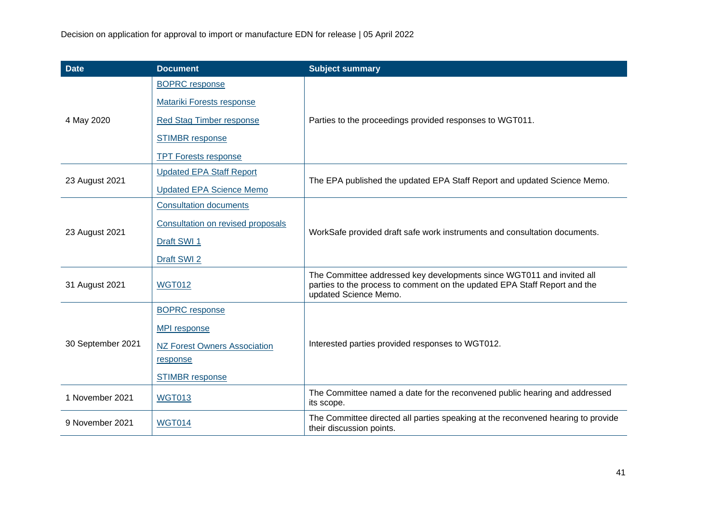| <b>Date</b>       | <b>Document</b>                     | <b>Subject summary</b>                                                                                                                                                      |  |  |
|-------------------|-------------------------------------|-----------------------------------------------------------------------------------------------------------------------------------------------------------------------------|--|--|
|                   | <b>BOPRC</b> response               |                                                                                                                                                                             |  |  |
|                   | <b>Matariki Forests response</b>    |                                                                                                                                                                             |  |  |
| 4 May 2020        | <b>Red Stag Timber response</b>     | Parties to the proceedings provided responses to WGT011.                                                                                                                    |  |  |
|                   | <b>STIMBR</b> response              |                                                                                                                                                                             |  |  |
|                   | <b>TPT Forests response</b>         |                                                                                                                                                                             |  |  |
| 23 August 2021    | <b>Updated EPA Staff Report</b>     | The EPA published the updated EPA Staff Report and updated Science Memo.                                                                                                    |  |  |
|                   | <b>Updated EPA Science Memo</b>     |                                                                                                                                                                             |  |  |
|                   | <b>Consultation documents</b>       |                                                                                                                                                                             |  |  |
|                   | Consultation on revised proposals   | WorkSafe provided draft safe work instruments and consultation documents.                                                                                                   |  |  |
| 23 August 2021    | Draft SWI 1                         |                                                                                                                                                                             |  |  |
|                   | Draft SWI 2                         |                                                                                                                                                                             |  |  |
| 31 August 2021    | <b>WGT012</b>                       | The Committee addressed key developments since WGT011 and invited all<br>parties to the process to comment on the updated EPA Staff Report and the<br>updated Science Memo. |  |  |
|                   | <b>BOPRC</b> response               |                                                                                                                                                                             |  |  |
|                   | <b>MPI</b> response                 |                                                                                                                                                                             |  |  |
| 30 September 2021 | <b>NZ Forest Owners Association</b> | Interested parties provided responses to WGT012.                                                                                                                            |  |  |
|                   | response                            |                                                                                                                                                                             |  |  |
|                   | <b>STIMBR</b> response              |                                                                                                                                                                             |  |  |
| 1 November 2021   | <b>WGT013</b>                       | The Committee named a date for the reconvened public hearing and addressed<br>its scope.                                                                                    |  |  |
| 9 November 2021   | <b>WGT014</b>                       | The Committee directed all parties speaking at the reconvened hearing to provide<br>their discussion points.                                                                |  |  |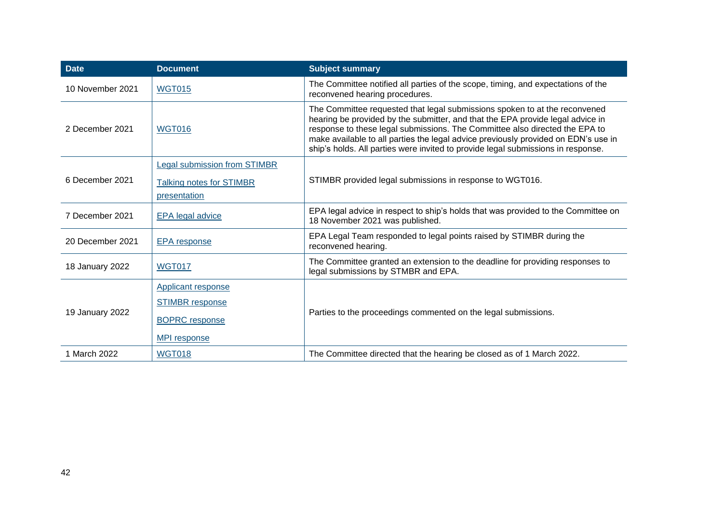| <b>Date</b>                      | <b>Document</b>                     | <b>Subject summary</b>                                                                                                                                                                                                                                                                                                                                                                                                |  |
|----------------------------------|-------------------------------------|-----------------------------------------------------------------------------------------------------------------------------------------------------------------------------------------------------------------------------------------------------------------------------------------------------------------------------------------------------------------------------------------------------------------------|--|
| 10 November 2021                 | <b>WGT015</b>                       | The Committee notified all parties of the scope, timing, and expectations of the<br>reconvened hearing procedures.                                                                                                                                                                                                                                                                                                    |  |
| 2 December 2021<br><b>WGT016</b> |                                     | The Committee requested that legal submissions spoken to at the reconvened<br>hearing be provided by the submitter, and that the EPA provide legal advice in<br>response to these legal submissions. The Committee also directed the EPA to<br>make available to all parties the legal advice previously provided on EDN's use in<br>ship's holds. All parties were invited to provide legal submissions in response. |  |
|                                  | <b>Legal submission from STIMBR</b> |                                                                                                                                                                                                                                                                                                                                                                                                                       |  |
| 6 December 2021                  | <b>Talking notes for STIMBR</b>     | STIMBR provided legal submissions in response to WGT016.                                                                                                                                                                                                                                                                                                                                                              |  |
|                                  | presentation                        |                                                                                                                                                                                                                                                                                                                                                                                                                       |  |
| 7 December 2021                  | <b>EPA</b> legal advice             | EPA legal advice in respect to ship's holds that was provided to the Committee on<br>18 November 2021 was published.                                                                                                                                                                                                                                                                                                  |  |
| 20 December 2021                 | <b>EPA</b> response                 | EPA Legal Team responded to legal points raised by STIMBR during the<br>reconvened hearing.                                                                                                                                                                                                                                                                                                                           |  |
| 18 January 2022                  | <b>WGT017</b>                       | The Committee granted an extension to the deadline for providing responses to<br>legal submissions by STMBR and EPA.                                                                                                                                                                                                                                                                                                  |  |
|                                  | <b>Applicant response</b>           |                                                                                                                                                                                                                                                                                                                                                                                                                       |  |
|                                  | <b>STIMBR</b> response              |                                                                                                                                                                                                                                                                                                                                                                                                                       |  |
| 19 January 2022                  | <b>BOPRC</b> response               | Parties to the proceedings commented on the legal submissions.                                                                                                                                                                                                                                                                                                                                                        |  |
|                                  | MPI response                        |                                                                                                                                                                                                                                                                                                                                                                                                                       |  |
| 1 March 2022                     | <b>WGT018</b>                       | The Committee directed that the hearing be closed as of 1 March 2022.                                                                                                                                                                                                                                                                                                                                                 |  |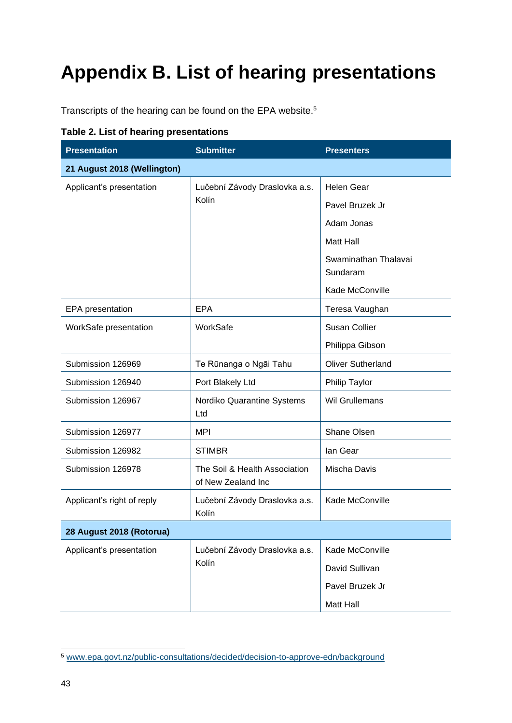# <span id="page-42-0"></span>**Appendix B. List of hearing presentations**

Transcripts of the hearing can be found on the EPA website.<sup>5</sup>

| <b>Presentation</b>         | <b>Submitter</b>                                    | <b>Presenters</b>                |  |
|-----------------------------|-----------------------------------------------------|----------------------------------|--|
| 21 August 2018 (Wellington) |                                                     |                                  |  |
| Applicant's presentation    | Lučební Závody Draslovka a.s.                       | <b>Helen Gear</b>                |  |
|                             | Kolín                                               | Pavel Bruzek Jr                  |  |
|                             |                                                     | Adam Jonas                       |  |
|                             |                                                     | <b>Matt Hall</b>                 |  |
|                             |                                                     | Swaminathan Thalavai<br>Sundaram |  |
|                             |                                                     | Kade McConville                  |  |
| EPA presentation            | <b>EPA</b>                                          | Teresa Vaughan                   |  |
| WorkSafe presentation       | WorkSafe                                            | <b>Susan Collier</b>             |  |
|                             |                                                     | Philippa Gibson                  |  |
| Submission 126969           | Te Rūnanga o Ngāi Tahu                              | <b>Oliver Sutherland</b>         |  |
| Submission 126940           | Port Blakely Ltd                                    | Philip Taylor                    |  |
| Submission 126967           | Nordiko Quarantine Systems<br>Ltd                   | <b>Wil Grullemans</b>            |  |
| Submission 126977           | <b>MPI</b>                                          | Shane Olsen                      |  |
| Submission 126982           | <b>STIMBR</b>                                       | lan Gear                         |  |
| Submission 126978           | The Soil & Health Association<br>of New Zealand Inc | Mischa Davis                     |  |
| Applicant's right of reply  | Lučební Závody Draslovka a.s.<br>Kolín              | Kade McConville                  |  |
| 28 August 2018 (Rotorua)    |                                                     |                                  |  |
| Applicant's presentation    | Lučební Závody Draslovka a.s.                       | Kade McConville                  |  |
|                             | Kolín                                               | David Sullivan                   |  |
|                             |                                                     | Pavel Bruzek Jr                  |  |
|                             |                                                     | Matt Hall                        |  |

|  |  | Table 2. List of hearing presentations |  |
|--|--|----------------------------------------|--|
|  |  |                                        |  |

<sup>5</sup> [www.epa.govt.nz/public-consultations/decided/decision-to-approve-edn/background](http://www.epa.govt.nz/public-consultations/decided/decision-to-approve-edn/hearing)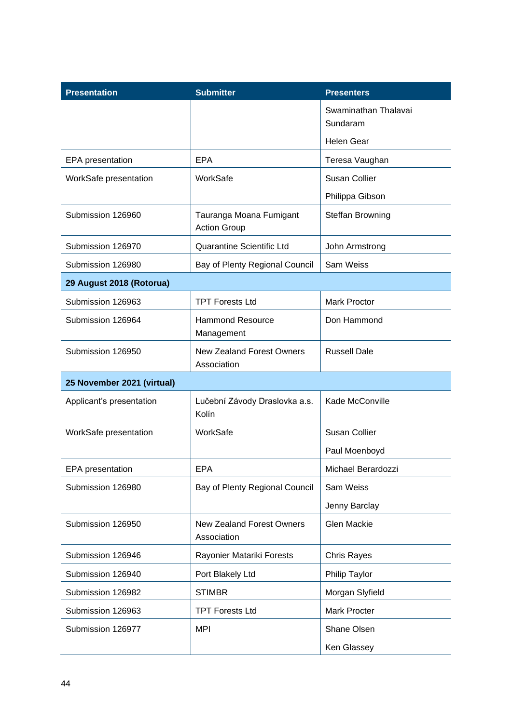| <b>Presentation</b>        | <b>Submitter</b>                                | <b>Presenters</b>                |
|----------------------------|-------------------------------------------------|----------------------------------|
|                            |                                                 | Swaminathan Thalavai<br>Sundaram |
|                            |                                                 | <b>Helen Gear</b>                |
| <b>EPA</b> presentation    | <b>EPA</b>                                      | Teresa Vaughan                   |
| WorkSafe presentation      | WorkSafe                                        | <b>Susan Collier</b>             |
|                            |                                                 | Philippa Gibson                  |
| Submission 126960          | Tauranga Moana Fumigant<br><b>Action Group</b>  | Steffan Browning                 |
| Submission 126970          | Quarantine Scientific Ltd                       | John Armstrong                   |
| Submission 126980          | Bay of Plenty Regional Council                  | Sam Weiss                        |
| 29 August 2018 (Rotorua)   |                                                 |                                  |
| Submission 126963          | <b>TPT Forests Ltd</b>                          | <b>Mark Proctor</b>              |
| Submission 126964          | <b>Hammond Resource</b><br>Management           | Don Hammond                      |
| Submission 126950          | <b>New Zealand Forest Owners</b><br>Association | <b>Russell Dale</b>              |
| 25 November 2021 (virtual) |                                                 |                                  |
| Applicant's presentation   | Lučební Závody Draslovka a.s.<br>Kolín          | Kade McConville                  |
| WorkSafe presentation      | WorkSafe                                        | <b>Susan Collier</b>             |
|                            |                                                 | Paul Moenboyd                    |
| EPA presentation           | <b>EPA</b>                                      | Michael Berardozzi               |
| Submission 126980          | Bay of Plenty Regional Council                  | Sam Weiss                        |
|                            |                                                 | Jenny Barclay                    |
| Submission 126950          | <b>New Zealand Forest Owners</b><br>Association | Glen Mackie                      |
| Submission 126946          | Rayonier Matariki Forests                       | <b>Chris Rayes</b>               |
| Submission 126940          | Port Blakely Ltd                                | Philip Taylor                    |
| Submission 126982          | <b>STIMBR</b>                                   | Morgan Slyfield                  |
| Submission 126963          | <b>TPT Forests Ltd</b>                          | <b>Mark Procter</b>              |
| Submission 126977          | <b>MPI</b>                                      | Shane Olsen                      |
|                            |                                                 | Ken Glassey                      |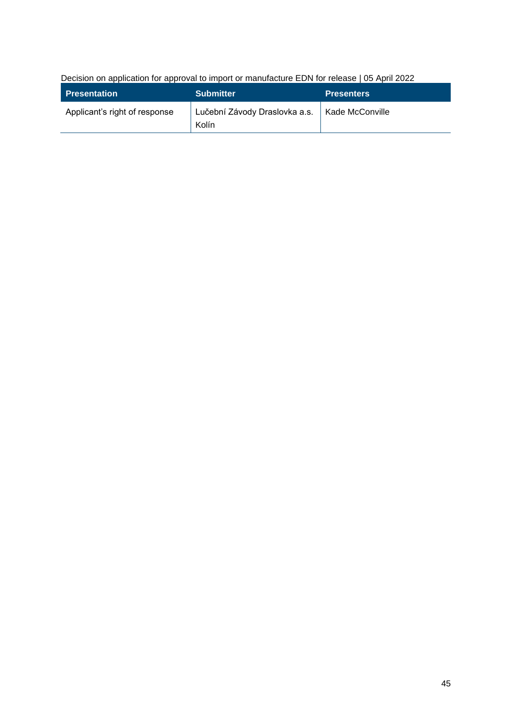Decision on application for approval to import or manufacture EDN for release | 05 April 2022

| <b>Presentation</b>           | <b>Submitter</b>                       | <b>Presenters</b> |
|-------------------------------|----------------------------------------|-------------------|
| Applicant's right of response | Lučební Závody Draslovka a.s.<br>Kolín | Kade McConville   |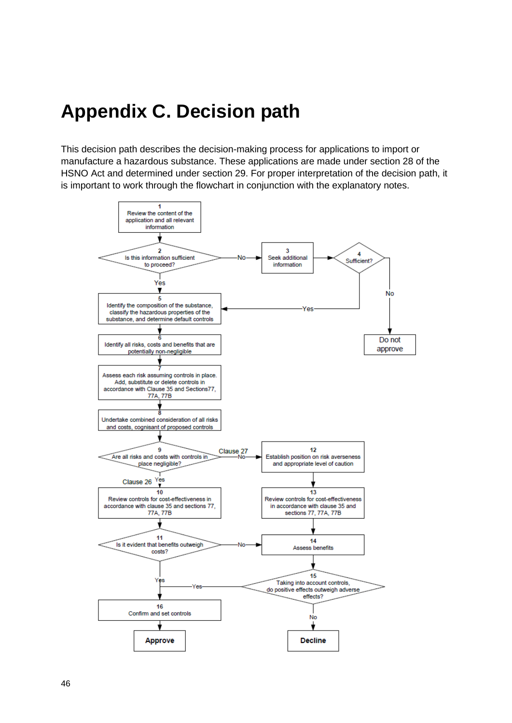# <span id="page-45-0"></span>**Appendix C. Decision path**

This decision path describes the decision-making process for applications to import or manufacture a hazardous substance. These applications are made under section 28 of the HSNO Act and determined under section 29. For proper interpretation of the decision path, it is important to work through the flowchart in conjunction with the explanatory notes.

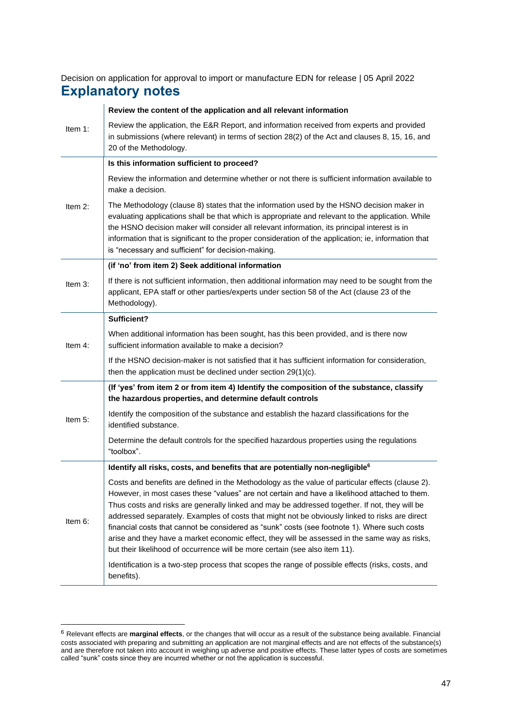<span id="page-46-0"></span>Decision on application for approval to import or manufacture EDN for release | 05 April 2022 **Explanatory notes**

|            | Review the content of the application and all relevant information                                                                                                                                                                                                                                                                                                                                                                                                                                                                                                                                                                                                                   |
|------------|--------------------------------------------------------------------------------------------------------------------------------------------------------------------------------------------------------------------------------------------------------------------------------------------------------------------------------------------------------------------------------------------------------------------------------------------------------------------------------------------------------------------------------------------------------------------------------------------------------------------------------------------------------------------------------------|
| Item $1$ : | Review the application, the E&R Report, and information received from experts and provided<br>in submissions (where relevant) in terms of section 28(2) of the Act and clauses 8, 15, 16, and<br>20 of the Methodology.                                                                                                                                                                                                                                                                                                                                                                                                                                                              |
|            | Is this information sufficient to proceed?                                                                                                                                                                                                                                                                                                                                                                                                                                                                                                                                                                                                                                           |
| Item $2$ : | Review the information and determine whether or not there is sufficient information available to<br>make a decision.                                                                                                                                                                                                                                                                                                                                                                                                                                                                                                                                                                 |
|            | The Methodology (clause 8) states that the information used by the HSNO decision maker in<br>evaluating applications shall be that which is appropriate and relevant to the application. While<br>the HSNO decision maker will consider all relevant information, its principal interest is in<br>information that is significant to the proper consideration of the application; ie, information that<br>is "necessary and sufficient" for decision-making.                                                                                                                                                                                                                         |
|            | (if 'no' from item 2) Seek additional information                                                                                                                                                                                                                                                                                                                                                                                                                                                                                                                                                                                                                                    |
| Item $3$ : | If there is not sufficient information, then additional information may need to be sought from the<br>applicant, EPA staff or other parties/experts under section 58 of the Act (clause 23 of the<br>Methodology).                                                                                                                                                                                                                                                                                                                                                                                                                                                                   |
|            | Sufficient?                                                                                                                                                                                                                                                                                                                                                                                                                                                                                                                                                                                                                                                                          |
| Item $4$ : | When additional information has been sought, has this been provided, and is there now<br>sufficient information available to make a decision?                                                                                                                                                                                                                                                                                                                                                                                                                                                                                                                                        |
|            | If the HSNO decision-maker is not satisfied that it has sufficient information for consideration,<br>then the application must be declined under section 29(1)(c).                                                                                                                                                                                                                                                                                                                                                                                                                                                                                                                   |
|            | (If 'yes' from item 2 or from item 4) Identify the composition of the substance, classify<br>the hazardous properties, and determine default controls                                                                                                                                                                                                                                                                                                                                                                                                                                                                                                                                |
| Item $5$ : | Identify the composition of the substance and establish the hazard classifications for the<br>identified substance.                                                                                                                                                                                                                                                                                                                                                                                                                                                                                                                                                                  |
|            | Determine the default controls for the specified hazardous properties using the regulations<br>"toolbox".                                                                                                                                                                                                                                                                                                                                                                                                                                                                                                                                                                            |
|            | Identify all risks, costs, and benefits that are potentially non-negligible <sup>6</sup>                                                                                                                                                                                                                                                                                                                                                                                                                                                                                                                                                                                             |
| Item 6:    | Costs and benefits are defined in the Methodology as the value of particular effects (clause 2).<br>However, in most cases these "values" are not certain and have a likelihood attached to them.<br>Thus costs and risks are generally linked and may be addressed together. If not, they will be<br>addressed separately. Examples of costs that might not be obviously linked to risks are direct<br>financial costs that cannot be considered as "sunk" costs (see footnote 1). Where such costs<br>arise and they have a market economic effect, they will be assessed in the same way as risks,<br>but their likelihood of occurrence will be more certain (see also item 11). |
|            | Identification is a two-step process that scopes the range of possible effects (risks, costs, and<br>benefits).                                                                                                                                                                                                                                                                                                                                                                                                                                                                                                                                                                      |

<sup>6</sup> Relevant effects are **marginal effects**, or the changes that will occur as a result of the substance being available. Financial costs associated with preparing and submitting an application are not marginal effects and are not effects of the substance(s) and are therefore not taken into account in weighing up adverse and positive effects. These latter types of costs are sometimes called "sunk" costs since they are incurred whether or not the application is successful.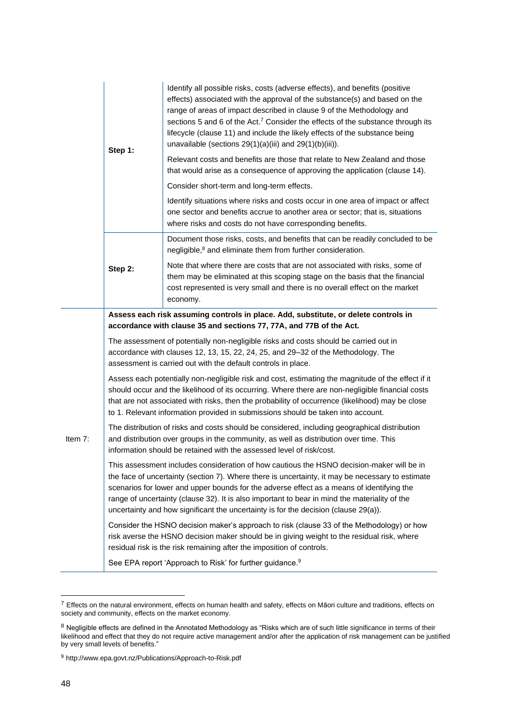|           | Step 1:                                                                                                                                                                                                                                                                                                                                                                                                                                                                            | Identify all possible risks, costs (adverse effects), and benefits (positive<br>effects) associated with the approval of the substance(s) and based on the<br>range of areas of impact described in clause 9 of the Methodology and<br>sections 5 and 6 of the Act. <sup>7</sup> Consider the effects of the substance through its<br>lifecycle (clause 11) and include the likely effects of the substance being<br>unavailable (sections $29(1)(a)(iii)$ and $29(1)(b)(iii)$ ). |  |
|-----------|------------------------------------------------------------------------------------------------------------------------------------------------------------------------------------------------------------------------------------------------------------------------------------------------------------------------------------------------------------------------------------------------------------------------------------------------------------------------------------|-----------------------------------------------------------------------------------------------------------------------------------------------------------------------------------------------------------------------------------------------------------------------------------------------------------------------------------------------------------------------------------------------------------------------------------------------------------------------------------|--|
|           |                                                                                                                                                                                                                                                                                                                                                                                                                                                                                    | Relevant costs and benefits are those that relate to New Zealand and those<br>that would arise as a consequence of approving the application (clause 14).                                                                                                                                                                                                                                                                                                                         |  |
|           |                                                                                                                                                                                                                                                                                                                                                                                                                                                                                    | Consider short-term and long-term effects.                                                                                                                                                                                                                                                                                                                                                                                                                                        |  |
|           |                                                                                                                                                                                                                                                                                                                                                                                                                                                                                    | Identify situations where risks and costs occur in one area of impact or affect<br>one sector and benefits accrue to another area or sector; that is, situations<br>where risks and costs do not have corresponding benefits.                                                                                                                                                                                                                                                     |  |
|           | Step 2:                                                                                                                                                                                                                                                                                                                                                                                                                                                                            | Document those risks, costs, and benefits that can be readily concluded to be<br>negligible, <sup>8</sup> and eliminate them from further consideration.                                                                                                                                                                                                                                                                                                                          |  |
|           |                                                                                                                                                                                                                                                                                                                                                                                                                                                                                    | Note that where there are costs that are not associated with risks, some of<br>them may be eliminated at this scoping stage on the basis that the financial<br>cost represented is very small and there is no overall effect on the market<br>economy.                                                                                                                                                                                                                            |  |
|           | Assess each risk assuming controls in place. Add, substitute, or delete controls in<br>accordance with clause 35 and sections 77, 77A, and 77B of the Act.                                                                                                                                                                                                                                                                                                                         |                                                                                                                                                                                                                                                                                                                                                                                                                                                                                   |  |
| Item $7:$ | The assessment of potentially non-negligible risks and costs should be carried out in<br>accordance with clauses 12, 13, 15, 22, 24, 25, and 29-32 of the Methodology. The<br>assessment is carried out with the default controls in place.                                                                                                                                                                                                                                        |                                                                                                                                                                                                                                                                                                                                                                                                                                                                                   |  |
|           | Assess each potentially non-negligible risk and cost, estimating the magnitude of the effect if it<br>should occur and the likelihood of its occurring. Where there are non-negligible financial costs<br>that are not associated with risks, then the probability of occurrence (likelihood) may be close<br>to 1. Relevant information provided in submissions should be taken into account.                                                                                     |                                                                                                                                                                                                                                                                                                                                                                                                                                                                                   |  |
|           | The distribution of risks and costs should be considered, including geographical distribution<br>and distribution over groups in the community, as well as distribution over time. This<br>information should be retained with the assessed level of risk/cost.                                                                                                                                                                                                                    |                                                                                                                                                                                                                                                                                                                                                                                                                                                                                   |  |
|           | This assessment includes consideration of how cautious the HSNO decision-maker will be in<br>the face of uncertainty (section 7). Where there is uncertainty, it may be necessary to estimate<br>scenarios for lower and upper bounds for the adverse effect as a means of identifying the<br>range of uncertainty (clause 32). It is also important to bear in mind the materiality of the<br>uncertainty and how significant the uncertainty is for the decision (clause 29(a)). |                                                                                                                                                                                                                                                                                                                                                                                                                                                                                   |  |
|           | Consider the HSNO decision maker's approach to risk (clause 33 of the Methodology) or how<br>risk averse the HSNO decision maker should be in giving weight to the residual risk, where<br>residual risk is the risk remaining after the imposition of controls.                                                                                                                                                                                                                   |                                                                                                                                                                                                                                                                                                                                                                                                                                                                                   |  |
|           |                                                                                                                                                                                                                                                                                                                                                                                                                                                                                    | See EPA report 'Approach to Risk' for further guidance. <sup>9</sup>                                                                                                                                                                                                                                                                                                                                                                                                              |  |

 $^7$  Effects on the natural environment, effects on human health and safety, effects on Māori culture and traditions, effects on society and community, effects on the market economy.

 $^8$  Negligible effects are defined in the Annotated Methodology as "Risks which are of such little significance in terms of their likelihood and effect that they do not require active management and/or after the application of risk management can be justified by very small levels of benefits."

<sup>9</sup> <http://www.epa.govt.nz/Publications/Approach-to-Risk.pdf>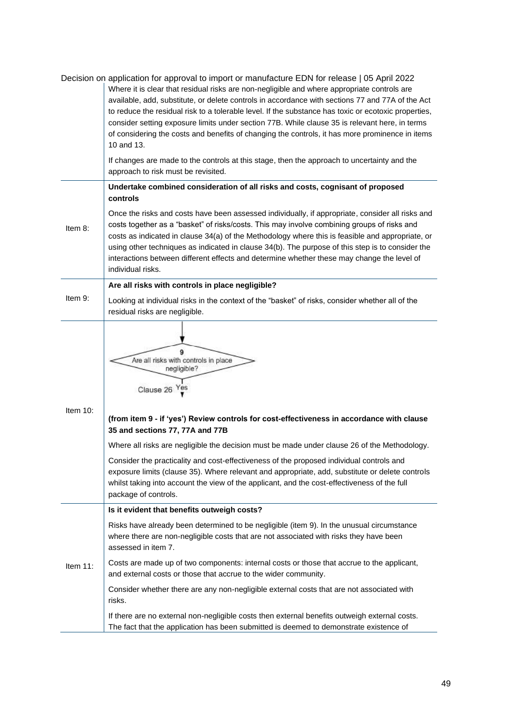|             | Decision on application for approval to import or manufacture EDN for release   05 April 2022<br>Where it is clear that residual risks are non-negligible and where appropriate controls are<br>available, add, substitute, or delete controls in accordance with sections 77 and 77A of the Act<br>to reduce the residual risk to a tolerable level. If the substance has toxic or ecotoxic properties,<br>consider setting exposure limits under section 77B. While clause 35 is relevant here, in terms<br>of considering the costs and benefits of changing the controls, it has more prominence in items<br>10 and 13. |
|-------------|-----------------------------------------------------------------------------------------------------------------------------------------------------------------------------------------------------------------------------------------------------------------------------------------------------------------------------------------------------------------------------------------------------------------------------------------------------------------------------------------------------------------------------------------------------------------------------------------------------------------------------|
|             | If changes are made to the controls at this stage, then the approach to uncertainty and the<br>approach to risk must be revisited.                                                                                                                                                                                                                                                                                                                                                                                                                                                                                          |
|             | Undertake combined consideration of all risks and costs, cognisant of proposed<br>controls                                                                                                                                                                                                                                                                                                                                                                                                                                                                                                                                  |
| Item 8:     | Once the risks and costs have been assessed individually, if appropriate, consider all risks and<br>costs together as a "basket" of risks/costs. This may involve combining groups of risks and<br>costs as indicated in clause 34(a) of the Methodology where this is feasible and appropriate, or<br>using other techniques as indicated in clause 34(b). The purpose of this step is to consider the<br>interactions between different effects and determine whether these may change the level of<br>individual risks.                                                                                                  |
|             | Are all risks with controls in place negligible?                                                                                                                                                                                                                                                                                                                                                                                                                                                                                                                                                                            |
| Item 9:     | Looking at individual risks in the context of the "basket" of risks, consider whether all of the<br>residual risks are negligible.                                                                                                                                                                                                                                                                                                                                                                                                                                                                                          |
| Item $10$ : | 9<br>Are all risks with controls in place<br>negligible?<br>Yes<br>Clause 26<br>(from item 9 - if 'yes') Review controls for cost-effectiveness in accordance with clause<br>35 and sections 77, 77A and 77B<br>Where all risks are negligible the decision must be made under clause 26 of the Methodology.<br>Consider the practicality and cost-effectiveness of the proposed individual controls and<br>exposure limits (clause 35). Where relevant and appropriate, add, substitute or delete controls                                                                                                                 |
|             | whilst taking into account the view of the applicant, and the cost-effectiveness of the full<br>package of controls.                                                                                                                                                                                                                                                                                                                                                                                                                                                                                                        |
|             | Is it evident that benefits outweigh costs?                                                                                                                                                                                                                                                                                                                                                                                                                                                                                                                                                                                 |
| Item 11:    | Risks have already been determined to be negligible (item 9). In the unusual circumstance<br>where there are non-negligible costs that are not associated with risks they have been<br>assessed in item 7.                                                                                                                                                                                                                                                                                                                                                                                                                  |
|             | Costs are made up of two components: internal costs or those that accrue to the applicant,<br>and external costs or those that accrue to the wider community.                                                                                                                                                                                                                                                                                                                                                                                                                                                               |
|             | Consider whether there are any non-negligible external costs that are not associated with<br>risks.                                                                                                                                                                                                                                                                                                                                                                                                                                                                                                                         |
|             | If there are no external non-negligible costs then external benefits outweigh external costs.<br>The fact that the application has been submitted is deemed to demonstrate existence of                                                                                                                                                                                                                                                                                                                                                                                                                                     |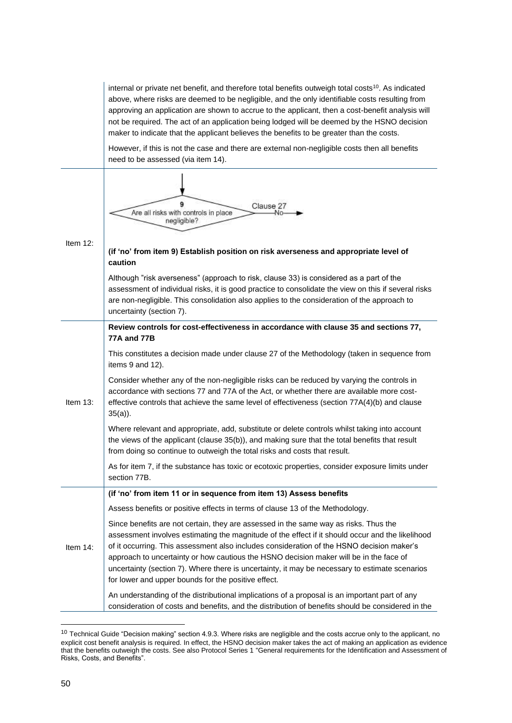internal or private net benefit, and therefore total benefits outweigh total costs<sup>10</sup>. As indicated above, where risks are deemed to be negligible, and the only identifiable costs resulting from approving an application are shown to accrue to the applicant, then a cost-benefit analysis will not be required. The act of an application being lodged will be deemed by the HSNO decision maker to indicate that the applicant believes the benefits to be greater than the costs.

However, if this is not the case and there are external non-negligible costs then all benefits need to be assessed (via item 14).

| Item $12$ : | Clause 27<br>Are all risks with controls in place<br>negligible?<br>(if 'no' from item 9) Establish position on risk averseness and appropriate level of<br>caution<br>Although "risk averseness" (approach to risk, clause 33) is considered as a part of the<br>assessment of individual risks, it is good practice to consolidate the view on this if several risks<br>are non-negligible. This consolidation also applies to the consideration of the approach to<br>uncertainty (section 7).                                        |
|-------------|------------------------------------------------------------------------------------------------------------------------------------------------------------------------------------------------------------------------------------------------------------------------------------------------------------------------------------------------------------------------------------------------------------------------------------------------------------------------------------------------------------------------------------------|
| Item $13$ : | Review controls for cost-effectiveness in accordance with clause 35 and sections 77,<br><b>77A and 77B</b>                                                                                                                                                                                                                                                                                                                                                                                                                               |
|             | This constitutes a decision made under clause 27 of the Methodology (taken in sequence from<br>items 9 and 12).                                                                                                                                                                                                                                                                                                                                                                                                                          |
|             | Consider whether any of the non-negligible risks can be reduced by varying the controls in<br>accordance with sections 77 and 77A of the Act, or whether there are available more cost-<br>effective controls that achieve the same level of effectiveness (section 77A(4)(b) and clause<br>$35(a)$ ).                                                                                                                                                                                                                                   |
|             | Where relevant and appropriate, add, substitute or delete controls whilst taking into account<br>the views of the applicant (clause 35(b)), and making sure that the total benefits that result<br>from doing so continue to outweigh the total risks and costs that result.                                                                                                                                                                                                                                                             |
|             | As for item 7, if the substance has toxic or ecotoxic properties, consider exposure limits under<br>section 77B.                                                                                                                                                                                                                                                                                                                                                                                                                         |
|             | (if 'no' from item 11 or in sequence from item 13) Assess benefits                                                                                                                                                                                                                                                                                                                                                                                                                                                                       |
|             | Assess benefits or positive effects in terms of clause 13 of the Methodology.                                                                                                                                                                                                                                                                                                                                                                                                                                                            |
| Item $14$ : | Since benefits are not certain, they are assessed in the same way as risks. Thus the<br>assessment involves estimating the magnitude of the effect if it should occur and the likelihood<br>of it occurring. This assessment also includes consideration of the HSNO decision maker's<br>approach to uncertainty or how cautious the HSNO decision maker will be in the face of<br>uncertainty (section 7). Where there is uncertainty, it may be necessary to estimate scenarios<br>for lower and upper bounds for the positive effect. |
|             | An understanding of the distributional implications of a proposal is an important part of any<br>consideration of costs and benefits, and the distribution of benefits should be considered in the                                                                                                                                                                                                                                                                                                                                       |

<sup>&</sup>lt;sup>10</sup> Technical Guide "Decision making" section 4.9.3. Where risks are negligible and the costs accrue only to the applicant, no explicit cost benefit analysis is required. In effect, the HSNO decision maker takes the act of making an application as evidence that the benefits outweigh the costs. See also Protocol Series 1 "General requirements for the Identification and Assessment of Risks, Costs, and Benefits".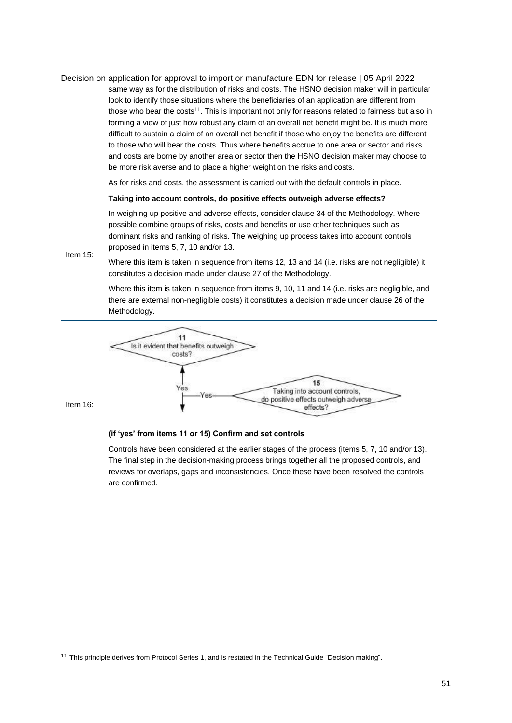|             | Decision on application for approval to import or manufacture EDN for release   05 April 2022<br>same way as for the distribution of risks and costs. The HSNO decision maker will in particular<br>look to identify those situations where the beneficiaries of an application are different from<br>those who bear the costs <sup>11</sup> . This is important not only for reasons related to fairness but also in<br>forming a view of just how robust any claim of an overall net benefit might be. It is much more<br>difficult to sustain a claim of an overall net benefit if those who enjoy the benefits are different<br>to those who will bear the costs. Thus where benefits accrue to one area or sector and risks<br>and costs are borne by another area or sector then the HSNO decision maker may choose to<br>be more risk averse and to place a higher weight on the risks and costs. |
|-------------|----------------------------------------------------------------------------------------------------------------------------------------------------------------------------------------------------------------------------------------------------------------------------------------------------------------------------------------------------------------------------------------------------------------------------------------------------------------------------------------------------------------------------------------------------------------------------------------------------------------------------------------------------------------------------------------------------------------------------------------------------------------------------------------------------------------------------------------------------------------------------------------------------------|
|             | As for risks and costs, the assessment is carried out with the default controls in place.<br>Taking into account controls, do positive effects outweigh adverse effects?                                                                                                                                                                                                                                                                                                                                                                                                                                                                                                                                                                                                                                                                                                                                 |
| Item $15$ : | In weighing up positive and adverse effects, consider clause 34 of the Methodology. Where<br>possible combine groups of risks, costs and benefits or use other techniques such as<br>dominant risks and ranking of risks. The weighing up process takes into account controls<br>proposed in items 5, 7, 10 and/or 13.<br>Where this item is taken in sequence from items 12, 13 and 14 (i.e. risks are not negligible) it<br>constitutes a decision made under clause 27 of the Methodology.<br>Where this item is taken in sequence from items 9, 10, 11 and 14 (i.e. risks are negligible, and<br>there are external non-negligible costs) it constitutes a decision made under clause 26 of the<br>Methodology.                                                                                                                                                                                      |
| Item 16:    | 11<br>Is it evident that benefits outweigh<br>costs?<br>15<br>Yes<br>Taking into account controls,<br>Yes<br>do positive effects outweigh adverse<br>effects?<br>(if 'yes' from items 11 or 15) Confirm and set controls<br>Controls have been considered at the earlier stages of the process (items 5, 7, 10 and/or 13).<br>The final step in the decision-making process brings together all the proposed controls, and<br>reviews for overlaps, gaps and inconsistencies. Once these have been resolved the controls<br>are confirmed.                                                                                                                                                                                                                                                                                                                                                               |

<sup>11</sup> This principle derives from Protocol Series 1, and is restated in the Technical Guide "Decision making".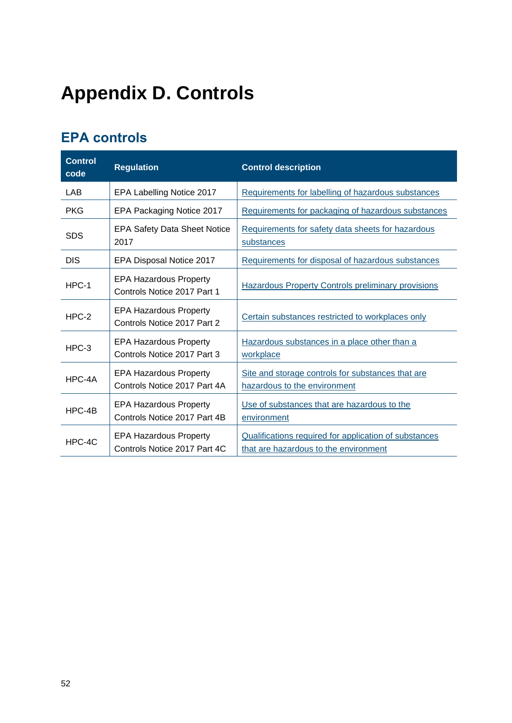# <span id="page-51-0"></span>**Appendix D. Controls**

# <span id="page-51-1"></span>**EPA controls**

| <b>Control</b><br>code | <b>Regulation</b>                                             | <b>Control description</b>                                                                     |
|------------------------|---------------------------------------------------------------|------------------------------------------------------------------------------------------------|
| LAB                    | EPA Labelling Notice 2017                                     | Requirements for labelling of hazardous substances                                             |
| <b>PKG</b>             | EPA Packaging Notice 2017                                     | Requirements for packaging of hazardous substances                                             |
| <b>SDS</b>             | <b>EPA Safety Data Sheet Notice</b><br>2017                   | Requirements for safety data sheets for hazardous<br>substances                                |
| <b>DIS</b>             | EPA Disposal Notice 2017                                      | Requirements for disposal of hazardous substances                                              |
| $HPC-1$                | <b>EPA Hazardous Property</b><br>Controls Notice 2017 Part 1  | <b>Hazardous Property Controls preliminary provisions</b>                                      |
| $HPC-2$                | <b>EPA Hazardous Property</b><br>Controls Notice 2017 Part 2  | Certain substances restricted to workplaces only                                               |
| $HPC-3$                | <b>EPA Hazardous Property</b><br>Controls Notice 2017 Part 3  | Hazardous substances in a place other than a<br>workplace                                      |
| HPC-4A                 | <b>EPA Hazardous Property</b><br>Controls Notice 2017 Part 4A | Site and storage controls for substances that are<br>hazardous to the environment              |
| HPC-4B                 | <b>EPA Hazardous Property</b><br>Controls Notice 2017 Part 4B | Use of substances that are hazardous to the<br>environment                                     |
| $HPC-4C$               | <b>EPA Hazardous Property</b><br>Controls Notice 2017 Part 4C | Qualifications required for application of substances<br>that are hazardous to the environment |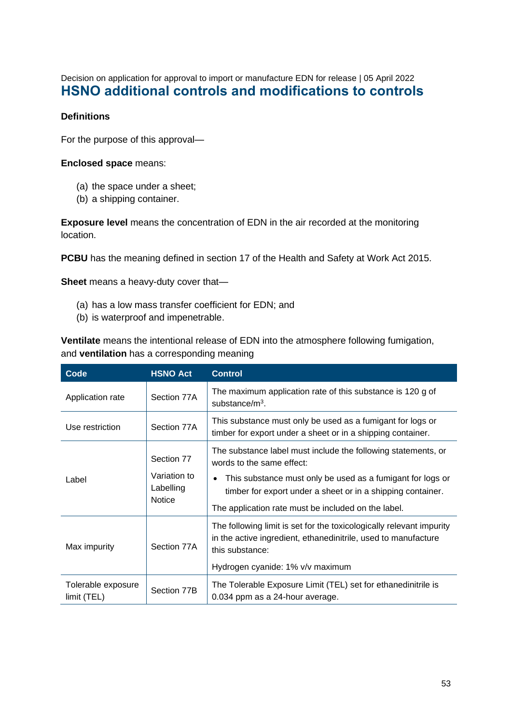<span id="page-52-0"></span>Decision on application for approval to import or manufacture EDN for release | 05 April 2022 **HSNO additional controls and modifications to controls**

#### **Definitions**

For the purpose of this approval—

#### **Enclosed space** means:

- (a) the space under a sheet;
- (b) a shipping container.

**Exposure level** means the concentration of EDN in the air recorded at the monitoring location.

**PCBU** has the meaning defined in section 17 of the Health and Safety at Work Act 2015.

**Sheet** means a heavy-duty cover that—

- (a) has a low mass transfer coefficient for EDN; and
- (b) is waterproof and impenetrable.

**Ventilate** means the intentional release of EDN into the atmosphere following fumigation, and **ventilation** has a corresponding meaning

| Code                              | <b>HSNO Act</b>                            | <b>Control</b>                                                                                                                                            |
|-----------------------------------|--------------------------------------------|-----------------------------------------------------------------------------------------------------------------------------------------------------------|
| Application rate                  | Section 77A                                | The maximum application rate of this substance is 120 g of<br>substance/ $m^3$ .                                                                          |
| Use restriction                   | Section 77A                                | This substance must only be used as a fumigant for logs or<br>timber for export under a sheet or in a shipping container.                                 |
|                                   | Section 77                                 | The substance label must include the following statements, or<br>words to the same effect:                                                                |
| Label                             | Variation to<br>Labelling<br><b>Notice</b> | This substance must only be used as a fumigant for logs or<br>$\bullet$<br>timber for export under a sheet or in a shipping container.                    |
|                                   |                                            | The application rate must be included on the label.                                                                                                       |
| Max impurity                      | Section 77A                                | The following limit is set for the toxicologically relevant impurity<br>in the active ingredient, ethanedinitrile, used to manufacture<br>this substance: |
|                                   |                                            | Hydrogen cyanide: 1% v/v maximum                                                                                                                          |
| Tolerable exposure<br>limit (TEL) | Section 77B                                | The Tolerable Exposure Limit (TEL) set for ethanedinitrile is<br>0.034 ppm as a 24-hour average.                                                          |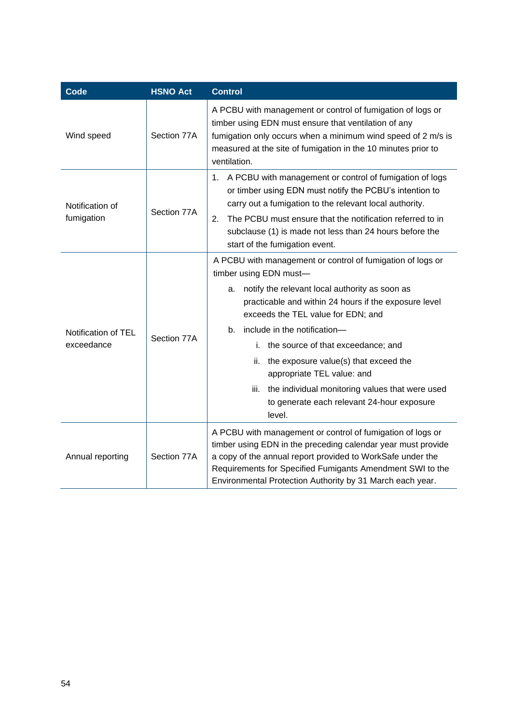| Code                              | <b>HSNO Act</b> | <b>Control</b>                                                                                                                                                                                                                                                                                                                                                                                                                                                                                                                 |
|-----------------------------------|-----------------|--------------------------------------------------------------------------------------------------------------------------------------------------------------------------------------------------------------------------------------------------------------------------------------------------------------------------------------------------------------------------------------------------------------------------------------------------------------------------------------------------------------------------------|
| Wind speed                        | Section 77A     | A PCBU with management or control of fumigation of logs or<br>timber using EDN must ensure that ventilation of any<br>fumigation only occurs when a minimum wind speed of 2 m/s is<br>measured at the site of fumigation in the 10 minutes prior to<br>ventilation.                                                                                                                                                                                                                                                            |
| Notification of<br>fumigation     | Section 77A     | A PCBU with management or control of fumigation of logs<br>1.<br>or timber using EDN must notify the PCBU's intention to<br>carry out a fumigation to the relevant local authority.<br>The PCBU must ensure that the notification referred to in<br>2.<br>subclause (1) is made not less than 24 hours before the<br>start of the fumigation event.                                                                                                                                                                            |
| Notification of TEL<br>exceedance | Section 77A     | A PCBU with management or control of fumigation of logs or<br>timber using EDN must-<br>notify the relevant local authority as soon as<br>a.<br>practicable and within 24 hours if the exposure level<br>exceeds the TEL value for EDN; and<br>include in the notification-<br>b.<br>the source of that exceedance; and<br>i.<br>the exposure value(s) that exceed the<br>ii.<br>appropriate TEL value: and<br>iii.<br>the individual monitoring values that were used<br>to generate each relevant 24-hour exposure<br>level. |
| Annual reporting                  | Section 77A     | A PCBU with management or control of fumigation of logs or<br>timber using EDN in the preceding calendar year must provide<br>a copy of the annual report provided to WorkSafe under the<br>Requirements for Specified Fumigants Amendment SWI to the<br>Environmental Protection Authority by 31 March each year.                                                                                                                                                                                                             |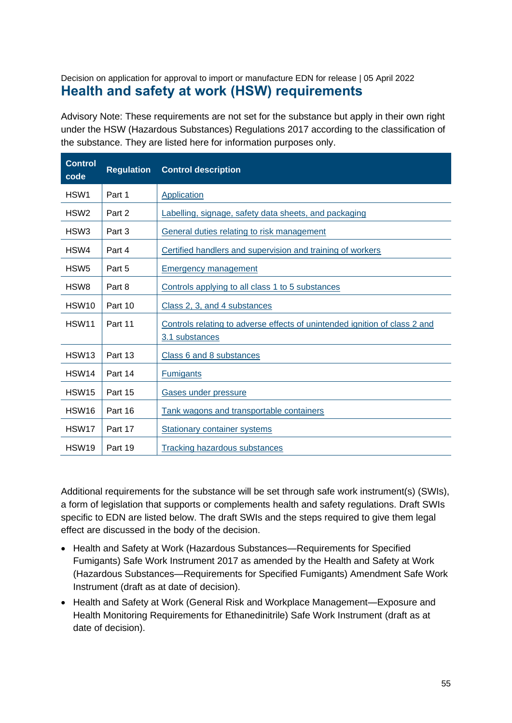### <span id="page-54-0"></span>Decision on application for approval to import or manufacture EDN for release | 05 April 2022 **Health and safety at work (HSW) requirements**

Advisory Note: These requirements are not set for the substance but apply in their own right under the HSW (Hazardous Substances) Regulations 2017 according to the classification of the substance. They are listed here for information purposes only.

| <b>Control</b><br>code | <b>Regulation</b> | <b>Control description</b>                                                                   |  |
|------------------------|-------------------|----------------------------------------------------------------------------------------------|--|
| HSW1                   | Part 1            | Application                                                                                  |  |
| HSW <sub>2</sub>       | Part 2            | Labelling, signage, safety data sheets, and packaging                                        |  |
| HSW <sub>3</sub>       | Part 3            | General duties relating to risk management                                                   |  |
| HSW4                   | Part 4            | Certified handlers and supervision and training of workers                                   |  |
| HSW <sub>5</sub>       | Part 5            | <b>Emergency management</b>                                                                  |  |
| HSW <sub>8</sub>       | Part 8            | Controls applying to all class 1 to 5 substances                                             |  |
| HSW <sub>10</sub>      | Part 10           | Class 2, 3, and 4 substances                                                                 |  |
| HSW <sub>11</sub>      | Part 11           | Controls relating to adverse effects of unintended ignition of class 2 and<br>3.1 substances |  |
| HSW <sub>13</sub>      | Part 13           | Class 6 and 8 substances                                                                     |  |
| HSW <sub>14</sub>      | Part 14           | <b>Fumigants</b>                                                                             |  |
| <b>HSW15</b>           | Part 15           | Gases under pressure                                                                         |  |
| HSW <sub>16</sub>      | Part 16           | Tank wagons and transportable containers                                                     |  |
| HSW <sub>17</sub>      | Part 17           | <b>Stationary container systems</b>                                                          |  |
| HSW <sub>19</sub>      | Part 19           | <b>Tracking hazardous substances</b>                                                         |  |

Additional requirements for the substance will be set through safe work instrument(s) (SWIs), a form of legislation that supports or complements health and safety regulations. Draft SWIs specific to EDN are listed below. The draft SWIs and the steps required to give them legal effect are discussed in the body of the decision.

- Health and Safety at Work (Hazardous Substances—Requirements for Specified Fumigants) Safe Work Instrument 2017 as amended by the Health and Safety at Work (Hazardous Substances—Requirements for Specified Fumigants) Amendment Safe Work Instrument (draft as at date of decision).
- Health and Safety at Work (General Risk and Workplace Management—Exposure and Health Monitoring Requirements for Ethanedinitrile) Safe Work Instrument (draft as at date of decision).